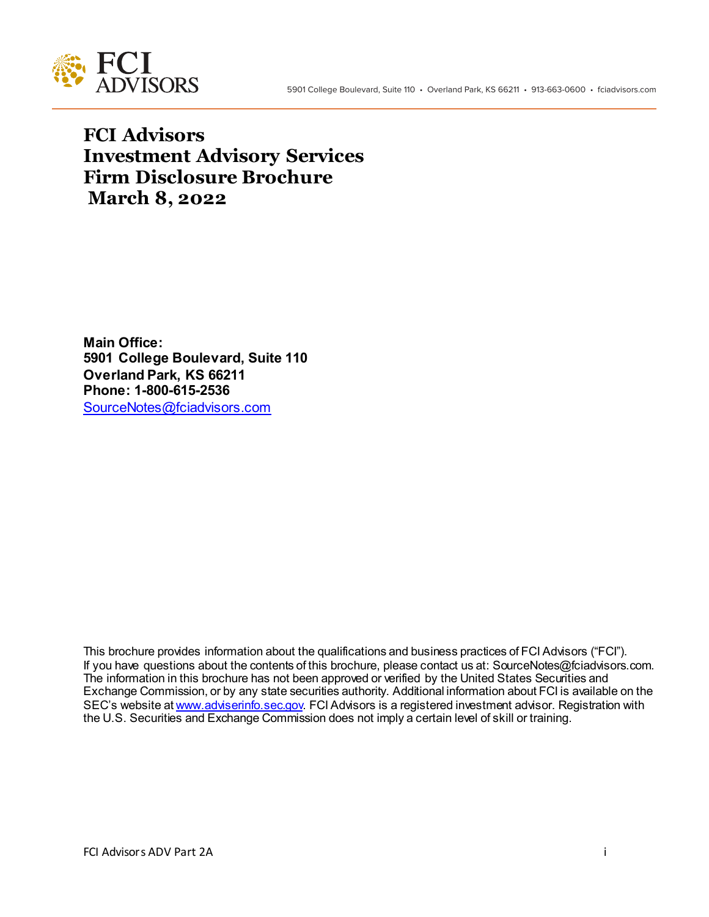

**FCI Advisors Investment Advisory Services Firm Disclosure Brochure March 8, 2022**

**Main Office: 5901 College Boulevard, Suite 110 Overland Park, KS 66211 Phone: 1-800-615-2536** SourceNotes@fciadvisors.com

This brochure provides information about the qualifications and business practices of FCI Advisors ("FCI"). If you have questions about the contents of this brochure, please contact us at: SourceNotes@fciadvisors.com. The information in this brochure has not been approved or verified by the United States Securities and Exchange Commission, or by any state securities authority. Additional information about FCI is available on the SEC's website at www.adviserinfo.sec.gov. FCI Advisors is a registered investment advisor. Registration with the U.S. Securities and Exchange Commission does not imply a certain level of skill or training.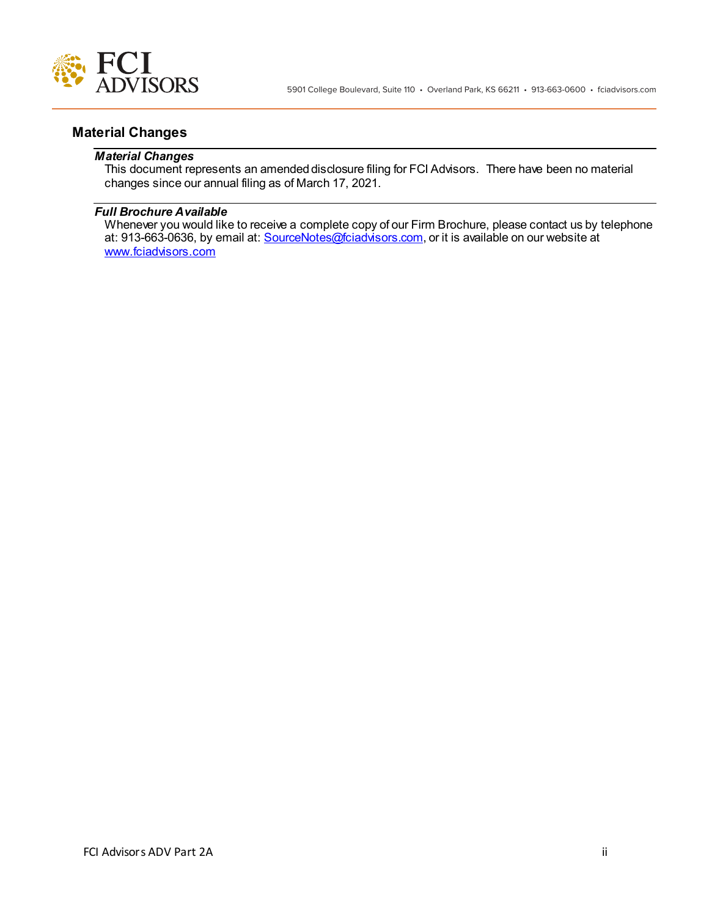

# **Material Changes**

### *Material Changes*

This document represents an amended disclosure filing for FCI Advisors. There have been no material changes since our annual filing as of March 17, 2021.

## *Full Brochure Available*

Whenever you would like to receive a complete copy of our Firm Brochure, please contact us by telephone at: 913-663-0636, by email at: **SourceNotes@fciadvisors.com**, or it is available on our website at www.fciadvisors.com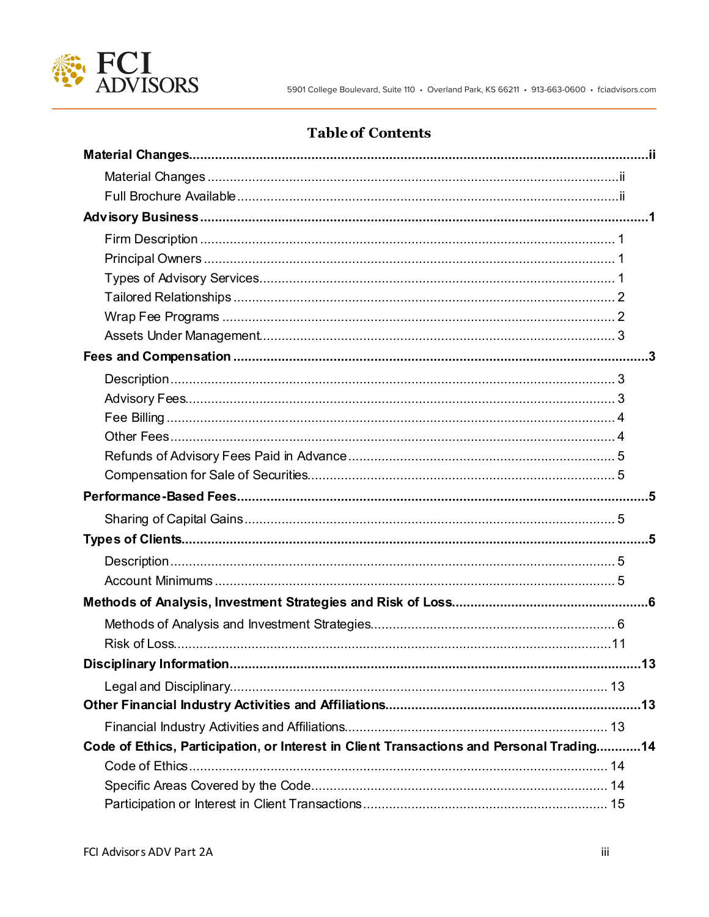

# **Table of Contents**

| Code of Ethics, Participation, or Interest in Client Transactions and Personal Trading14 |  |
|------------------------------------------------------------------------------------------|--|
|                                                                                          |  |
|                                                                                          |  |
|                                                                                          |  |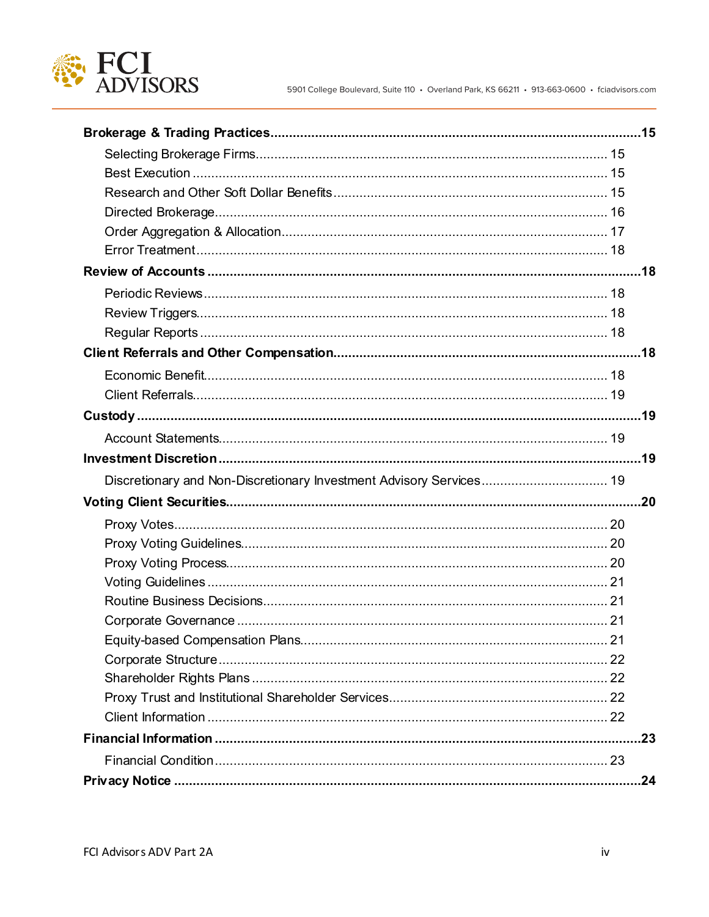

| Discretionary and Non-Discretionary Investment Advisory Services 19 |     |
|---------------------------------------------------------------------|-----|
|                                                                     |     |
|                                                                     |     |
|                                                                     |     |
|                                                                     |     |
|                                                                     |     |
|                                                                     |     |
|                                                                     |     |
|                                                                     |     |
|                                                                     |     |
|                                                                     |     |
|                                                                     |     |
|                                                                     |     |
|                                                                     |     |
|                                                                     |     |
|                                                                     | .24 |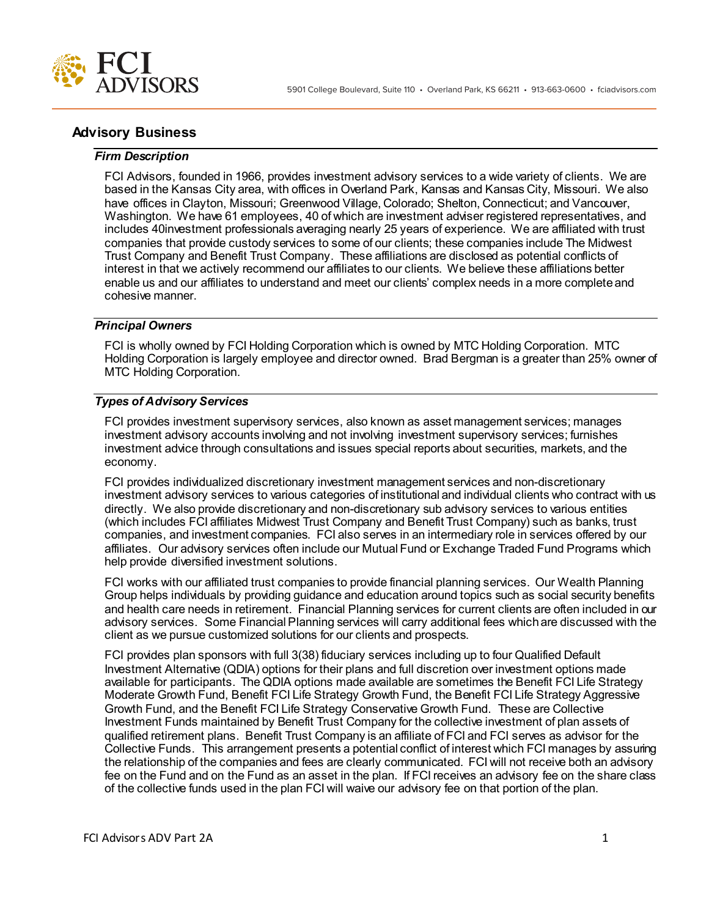

# **Advisory Business**

### *Firm Description*

FCI Advisors, founded in 1966, provides investment advisory services to a wide variety of clients. We are based in the Kansas City area, with offices in Overland Park, Kansas and Kansas City, Missouri. We also have offices in Clayton, Missouri; Greenwood Village, Colorado; Shelton, Connecticut; and Vancouver, Washington. We have 61 employees, 40 of which are investment adviser registered representatives, and includes 40investment professionals averaging nearly 25 years of experience. We are affiliated with trust companies that provide custody services to some of our clients; these companies include The Midwest Trust Company and Benefit Trust Company. These affiliations are disclosed as potential conflicts of interest in that we actively recommend our affiliates to our clients. We believe these affiliations better enable us and our affiliates to understand and meet our clients' complex needs in a more complete and cohesive manner.

## *Principal Owners*

FCI is wholly owned by FCI Holding Corporation which is owned by MTC Holding Corporation. MTC Holding Corporation is largely employee and director owned. Brad Bergman is a greater than 25% owner of MTC Holding Corporation.

## *Types of Advisory Services*

FCI provides investment supervisory services, also known as asset management services; manages investment advisory accounts involving and not involving investment supervisory services; furnishes investment advice through consultations and issues special reports about securities, markets, and the economy.

FCI provides individualized discretionary investment management services and non-discretionary investment advisory services to various categories of institutional and individual clients who contract with us directly. We also provide discretionary and non-discretionary sub advisory services to various entities (which includes FCI affiliates Midwest Trust Company and Benefit Trust Company) such as banks, trust companies, and investment companies. FCI also serves in an intermediary role in services offered by our affiliates. Our advisory services often include our Mutual Fund or Exchange Traded Fund Programs which help provide diversified investment solutions.

FCI works with our affiliated trust companies to provide financial planning services. Our Wealth Planning Group helps individuals by providing guidance and education around topics such as social security benefits and health care needs in retirement. Financial Planning services for current clients are often included in our advisory services. Some Financial Planning services will carry additional fees which are discussed with the client as we pursue customized solutions for our clients and prospects.

FCI provides plan sponsors with full 3(38) fiduciary services including up to four Qualified Default Investment Alternative (QDIA) options for their plans and full discretion over investment options made available for participants. The QDIA options made available are sometimes the Benefit FCI Life Strategy Moderate Growth Fund, Benefit FCI Life Strategy Growth Fund, the Benefit FCI Life Strategy Aggressive Growth Fund, and the Benefit FCI Life Strategy Conservative Growth Fund. These are Collective Investment Funds maintained by Benefit Trust Company for the collective investment of plan assets of qualified retirement plans. Benefit Trust Company is an affiliate of FCI and FCI serves as advisor for the Collective Funds. This arrangement presents a potential conflict of interest which FCI manages by assuring the relationship of the companies and fees are clearly communicated. FCI will not receive both an advisory fee on the Fund and on the Fund as an asset in the plan. If FCI receives an advisory fee on the share class of the collective funds used in the plan FCI will waive our advisory fee on that portion of the plan.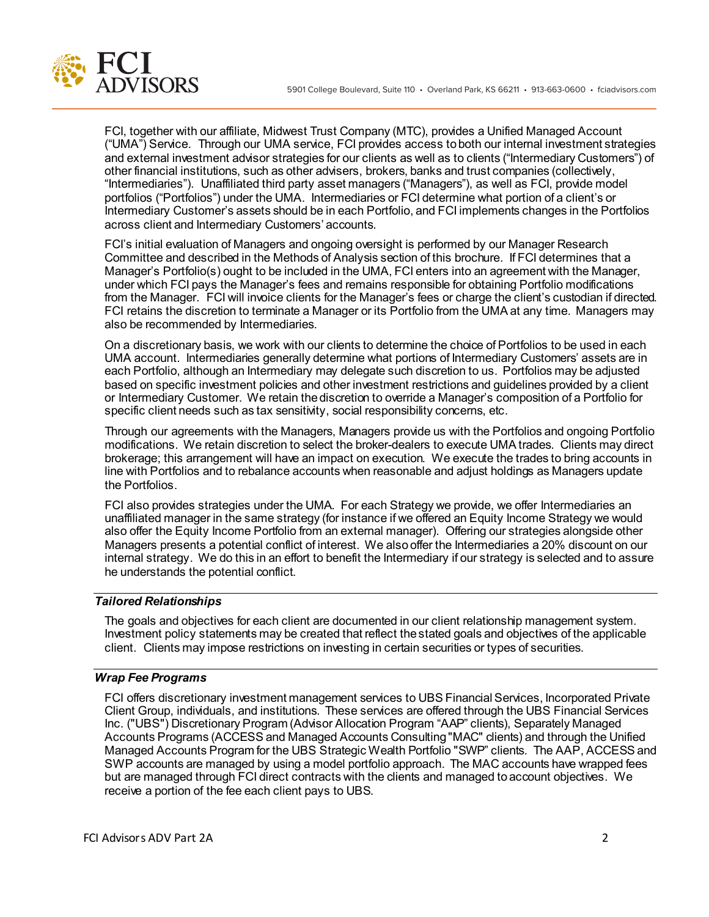

FCI, together with our affiliate, Midwest Trust Company (MTC), provides a Unified Managed Account ("UMA") Service. Through our UMA service, FCI provides access to both our internal investment strategies and external investment advisor strategies for our clients as well as to clients ("Intermediary Customers") of other financial institutions, such as other advisers, brokers, banks and trust companies (collectively, "Intermediaries"). Unaffiliated third party asset managers ("Managers"), as well as FCI, provide model portfolios ("Portfolios") under the UMA. Intermediaries or FCI determine what portion of a client's or Intermediary Customer's assets should be in each Portfolio, and FCI implements changes in the Portfolios across client and Intermediary Customers' accounts.

FCI's initial evaluation of Managers and ongoing oversight is performed by our Manager Research Committee and described in the Methods of Analysis section of this brochure. If FCI determines that a Manager's Portfolio(s) ought to be included in the UMA, FCI enters into an agreement with the Manager, under which FCI pays the Manager's fees and remains responsible for obtaining Portfolio modifications from the Manager. FCI will invoice clients for the Manager's fees or charge the client's custodian if directed. FCI retains the discretion to terminate a Manager or its Portfolio from the UMA at any time. Managers may also be recommended by Intermediaries.

On a discretionary basis, we work with our clients to determine the choice of Portfolios to be used in each UMA account. Intermediaries generally determine what portions of Intermediary Customers' assets are in each Portfolio, although an Intermediary may delegate such discretion to us. Portfolios may be adjusted based on specific investment policies and other investment restrictions and guidelines provided by a client or Intermediary Customer. We retain the discretion to override a Manager's composition of a Portfolio for specific client needs such as tax sensitivity, social responsibility concerns, etc.

Through our agreements with the Managers, Managers provide us with the Portfolios and ongoing Portfolio modifications. We retain discretion to select the broker-dealers to execute UMA trades. Clients may direct brokerage; this arrangement will have an impact on execution. We execute the trades to bring accounts in line with Portfolios and to rebalance accounts when reasonable and adjust holdings as Managers update the Portfolios.

FCI also provides strategies under the UMA. For each Strategy we provide, we offer Intermediaries an unaffiliated manager in the same strategy (for instance if we offered an Equity Income Strategy we would also offer the Equity Income Portfolio from an external manager). Offering our strategies alongside other Managers presents a potential conflict of interest. We also offer the Intermediaries a 20% discount on our internal strategy. We do this in an effort to benefit the Intermediary if our strategy is selected and to assure he understands the potential conflict.

## *Tailored Relationships*

The goals and objectives for each client are documented in our client relationship management system. Investment policy statements may be created that reflect the stated goals and objectives of the applicable client. Clients may impose restrictions on investing in certain securities or types of securities.

## *Wrap Fee Programs*

FCI offers discretionary investment management services to UBS Financial Services, Incorporated Private Client Group, individuals, and institutions. These services are offered through the UBS Financial Services Inc. ("UBS") Discretionary Program (Advisor Allocation Program "AAP" clients), Separately Managed Accounts Programs (ACCESS and Managed Accounts Consulting "MAC" clients) and through the Unified Managed Accounts Program for the UBS Strategic Wealth Portfolio "SWP" clients. The AAP, ACCESS and SWP accounts are managed by using a model portfolio approach. The MAC accounts have wrapped fees but are managed through FCI direct contracts with the clients and managed to account objectives. We receive a portion of the fee each client pays to UBS.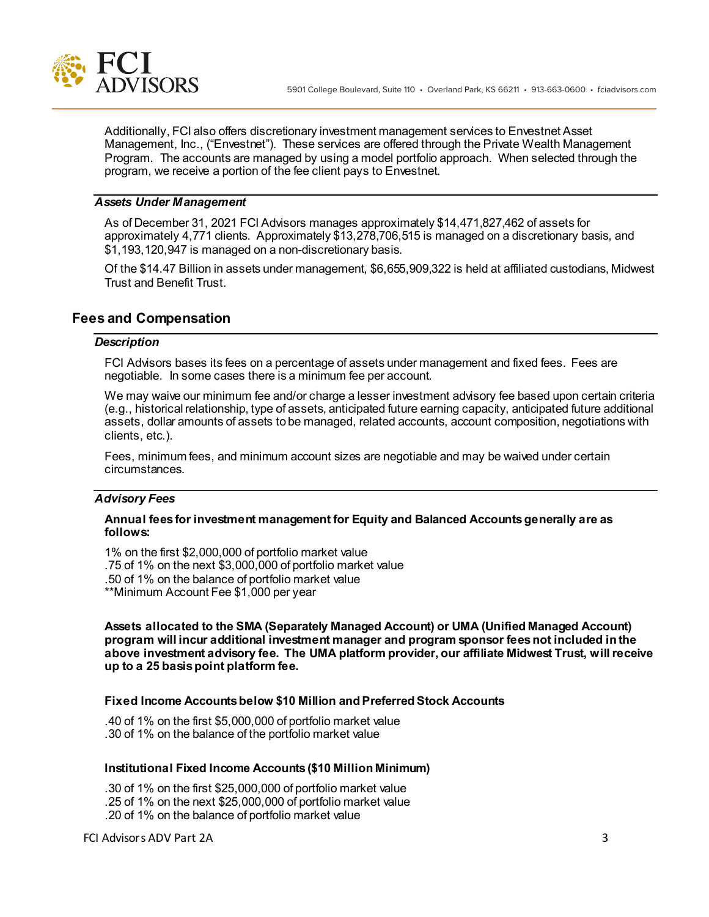

Additionally, FCI also offers discretionary investment management services to Envestnet Asset Management, Inc., ("Envestnet"). These services are offered through the Private Wealth Management Program. The accounts are managed by using a model portfolio approach. When selected through the program, we receive a portion of the fee client pays to Envestnet.

#### *Assets Under Management*

As of December 31, 2021 FCI Advisors manages approximately \$14,471,827,462 of assets for approximately 4,771 clients. Approximately \$13,278,706,515 is managed on a discretionary basis, and \$1,193,120,947 is managed on a non-discretionary basis.

Of the \$14.47 Billion in assets under management, \$6,655,909,322 is held at affiliated custodians, Midwest Trust and Benefit Trust.

# **Fees and Compensation**

#### *Description*

FCI Advisors bases its fees on a percentage of assets under management and fixed fees. Fees are negotiable. In some cases there is a minimum fee per account.

We may waive our minimum fee and/or charge a lesser investment advisory fee based upon certain criteria (e.g., historical relationship, type of assets, anticipated future earning capacity, anticipated future additional assets, dollar amounts of assets to be managed, related accounts, account composition, negotiations with clients, etc.).

Fees, minimum fees, and minimum account sizes are negotiable and may be waived under certain circumstances.

#### *Advisory Fees*

#### **Annual fees for investment management for Equity and Balanced Accounts generally are as follows:**

1% on the first \$2,000,000 of portfolio market value .75 of 1% on the next \$3,000,000 of portfolio market value .50 of 1% on the balance of portfolio market value \*\*Minimum Account Fee \$1,000 per year

**Assets allocated to the SMA (Separately Managed Account) or UMA (Unified Managed Account) program will incur additional investment manager and program sponsor fees not included in the above investment advisory fee. The UMA platform provider, our affiliate Midwest Trust, will receive up to a 25 basis point platform fee.** 

### **Fixed Income Accountsbelow \$10 Million andPreferred Stock Accounts**

.40 of 1% on the first \$5,000,000 of portfolio market value .30 of 1% on the balance of the portfolio market value

### **Institutional Fixed Income Accounts(\$10 Million Minimum)**

.30 of 1% on the first \$25,000,000 of portfolio market value .25 of 1% on the next \$25,000,000 of portfolio market value .20 of 1% on the balance of portfolio market value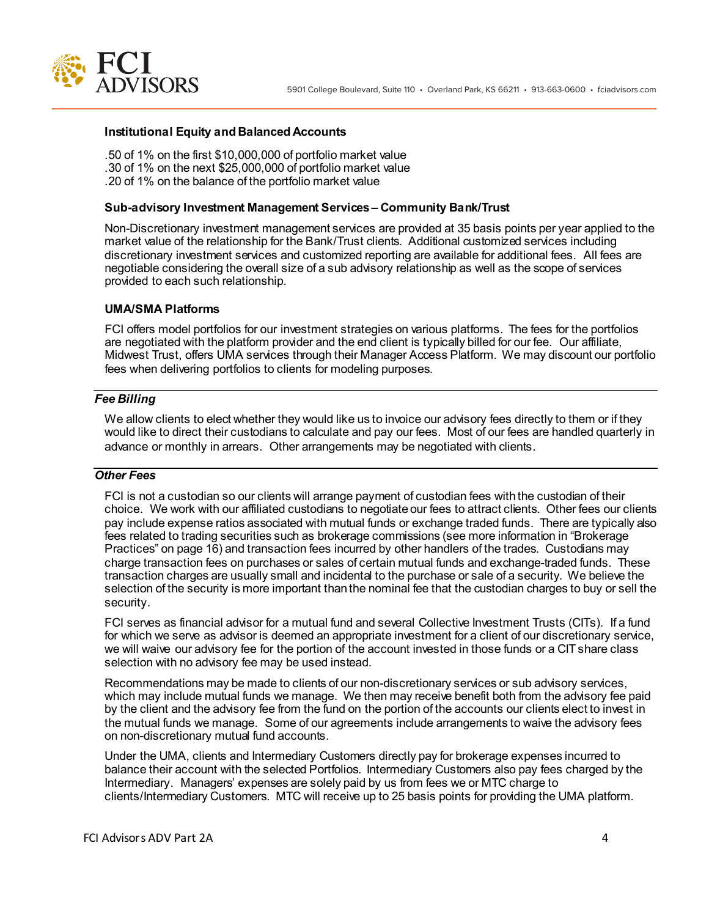

#### **Institutional Equity and Balanced Accounts**

.50 of 1% on the first \$10,000,000 of portfolio market value .30 of 1% on the next \$25,000,000 of portfolio market value .20 of 1% on the balance of the portfolio market value

#### **Sub-advisory Investment Management Services – Community Bank/Trust**

Non-Discretionary investment management services are provided at 35 basis points per year applied to the market value of the relationship for the Bank/Trust clients. Additional customized services including discretionary investment services and customized reporting are available for additional fees. All fees are negotiable considering the overall size of a sub advisory relationship as well as the scope of services provided to each such relationship.

#### **UMA/SMA Platforms**

FCI offers model portfolios for our investment strategies on various platforms. The fees for the portfolios are negotiated with the platform provider and the end client is typically billed for our fee. Our affiliate, Midwest Trust, offers UMA services through their Manager Access Platform. We may discount our portfolio fees when delivering portfolios to clients for modeling purposes.

### *Fee Billing*

We allow clients to elect whether they would like us to invoice our advisory fees directly to them or if they would like to direct their custodians to calculate and pay our fees. Most of our fees are handled quarterly in advance or monthly in arrears. Other arrangements may be negotiated with clients.

## *Other Fees*

FCI is not a custodian so our clients will arrange payment of custodian fees with the custodian of their choice. We work with our affiliated custodians to negotiate our fees to attract clients. Other fees our clients pay include expense ratios associated with mutual funds or exchange traded funds. There are typically also fees related to trading securities such as brokerage commissions (see more information in "Brokerage Practices" on page 16) and transaction fees incurred by other handlers of the trades. Custodians may charge transaction fees on purchases or sales of certain mutual funds and exchange-traded funds. These transaction charges are usually small and incidental to the purchase or sale of a security. We believe the selection of the security is more important than the nominal fee that the custodian charges to buy or sell the security.

FCI serves as financial advisor for a mutual fund and several Collective Investment Trusts (CITs). If a fund for which we serve as advisor is deemed an appropriate investment for a client of our discretionary service, we will waive our advisory fee for the portion of the account invested in those funds or a CIT share class selection with no advisory fee may be used instead.

Recommendations may be made to clients of our non-discretionary services or sub advisory services, which may include mutual funds we manage. We then may receive benefit both from the advisory fee paid by the client and the advisory fee from the fund on the portion of the accounts our clients elect to invest in the mutual funds we manage. Some of our agreements include arrangements to waive the advisory fees on non-discretionary mutual fund accounts.

Under the UMA, clients and Intermediary Customers directly pay for brokerage expenses incurred to balance their account with the selected Portfolios. Intermediary Customers also pay fees charged by the Intermediary. Managers' expenses are solely paid by us from fees we or MTC charge to clients/Intermediary Customers. MTC will receive up to 25 basis points for providing the UMA platform.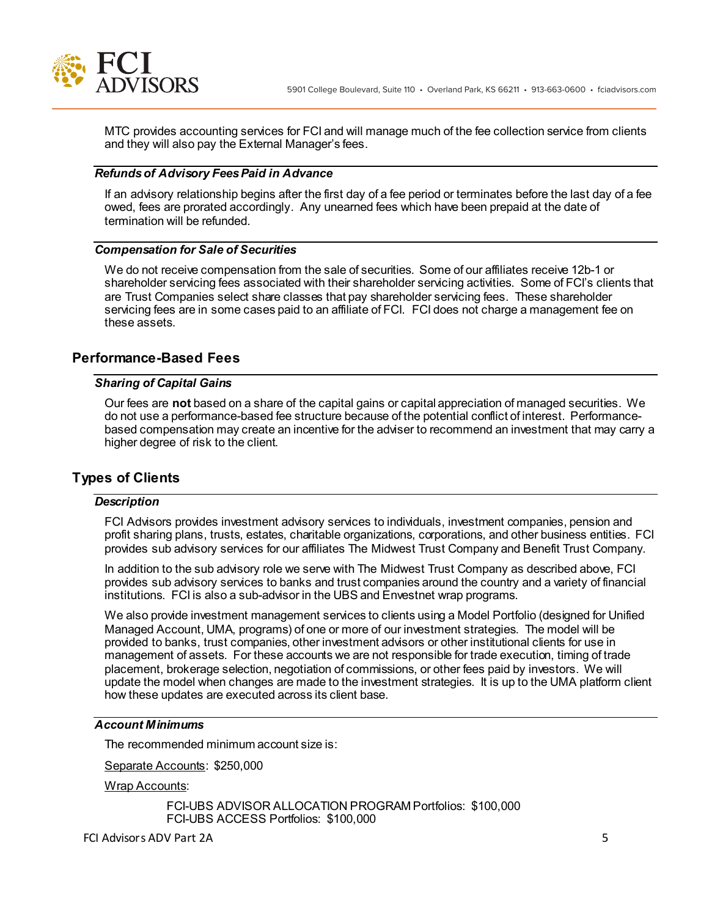

MTC provides accounting services for FCI and will manage much of the fee collection service from clients and they will also pay the External Manager's fees.

### *Refunds of Advisory Fees Paid in Advance*

If an advisory relationship begins after the first day of a fee period or terminates before the last day of a fee owed, fees are prorated accordingly. Any unearned fees which have been prepaid at the date of termination will be refunded.

### *Compensation for Sale of Securities*

We do not receive compensation from the sale of securities. Some of our affiliates receive 12b-1 or shareholder servicing fees associated with their shareholder servicing activities. Some of FCI's clients that are Trust Companies select share classes that pay shareholder servicing fees. These shareholder servicing fees are in some cases paid to an affiliate of FCI. FCI does not charge a management fee on these assets.

### **Performance-Based Fees**

## *Sharing of Capital Gains*

Our fees are **not** based on a share of the capital gains or capital appreciation of managed securities. We do not use a performance-based fee structure because of the potential conflict of interest. Performancebased compensation may create an incentive for the adviser to recommend an investment that may carry a higher degree of risk to the client.

## **Types of Clients**

#### *Description*

FCI Advisors provides investment advisory services to individuals, investment companies, pension and profit sharing plans, trusts, estates, charitable organizations, corporations, and other business entities. FCI provides sub advisory services for our affiliates The Midwest Trust Company and Benefit Trust Company.

In addition to the sub advisory role we serve with The Midwest Trust Company as described above, FCI provides sub advisory services to banks and trust companies around the country and a variety of financial institutions. FCI is also a sub-advisor in the UBS and Envestnet wrap programs.

We also provide investment management services to clients using a Model Portfolio (designed for Unified Managed Account, UMA, programs) of one or more of our investment strategies. The model will be provided to banks, trust companies, other investment advisors or other institutional clients for use in management of assets. For these accounts we are not responsible for trade execution, timing of trade placement, brokerage selection, negotiation of commissions, or other fees paid by investors. We will update the model when changes are made to the investment strategies. It is up to the UMA platform client how these updates are executed across its client base.

### *Account Minimums*

The recommended minimum account size is:

Separate Accounts: \$250,000

Wrap Accounts:

FCI-UBS ADVISOR ALLOCATION PROGRAM Portfolios: \$100,000 FCI-UBS ACCESS Portfolios: \$100,000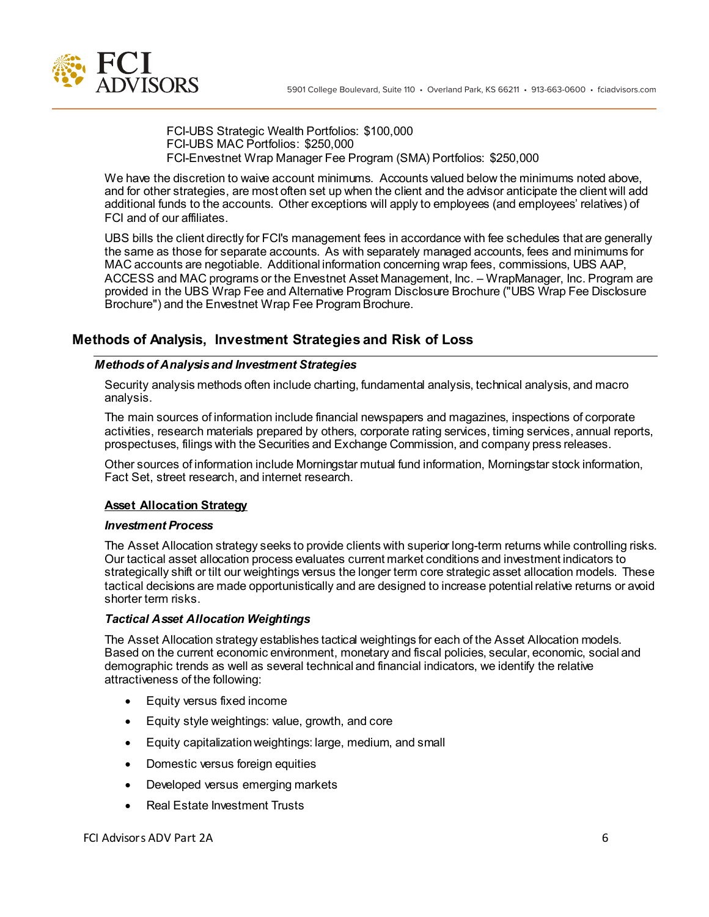

FCI-UBS Strategic Wealth Portfolios: \$100,000 FCI-UBS MAC Portfolios: \$250,000 FCI-Envestnet Wrap Manager Fee Program (SMA) Portfolios: \$250,000

We have the discretion to waive account minimums. Accounts valued below the minimums noted above, and for other strategies, are most often set up when the client and the advisor anticipate the client will add additional funds to the accounts. Other exceptions will apply to employees (and employees' relatives) of FCI and of our affiliates.

UBS bills the client directly for FCI's management fees in accordance with fee schedules that are generally the same as those for separate accounts. As with separately managed accounts, fees and minimums for MAC accounts are negotiable. Additional information concerning wrap fees, commissions, UBS AAP, ACCESS and MAC programs or the Envestnet Asset Management, Inc. – WrapManager, Inc. Program are provided in the UBS Wrap Fee and Alternative Program Disclosure Brochure ("UBS Wrap Fee Disclosure Brochure") and the Envestnet Wrap Fee Program Brochure.

# **Methods of Analysis, Investment Strategies and Risk of Loss**

## *Methods of Analysis and Investment Strategies*

Security analysis methods often include charting, fundamental analysis, technical analysis, and macro analysis.

The main sources of information include financial newspapers and magazines, inspections of corporate activities, research materials prepared by others, corporate rating services, timing services, annual reports, prospectuses, filings with the Securities and Exchange Commission, and company press releases.

Other sources of information include Morningstar mutual fund information, Morningstar stock information, Fact Set, street research, and internet research.

## **Asset Allocation Strategy**

### *Investment Process*

The Asset Allocation strategy seeks to provide clients with superior long-term returns while controlling risks. Our tactical asset allocation process evaluates current market conditions and investment indicators to strategically shift or tilt our weightings versus the longer term core strategic asset allocation models. These tactical decisions are made opportunistically and are designed to increase potential relative returns or avoid shorter term risks.

### *Tactical Asset Allocation Weightings*

The Asset Allocation strategy establishes tactical weightings for each of the Asset Allocation models. Based on the current economic environment, monetary and fiscal policies, secular, economic, social and demographic trends as well as several technical and financial indicators, we identify the relative attractiveness of the following:

- Equity versus fixed income
- Equity style weightings: value, growth, and core
- Equity capitalization weightings: large, medium, and small
- Domestic versus foreign equities
- Developed versus emerging markets
- Real Estate Investment Trusts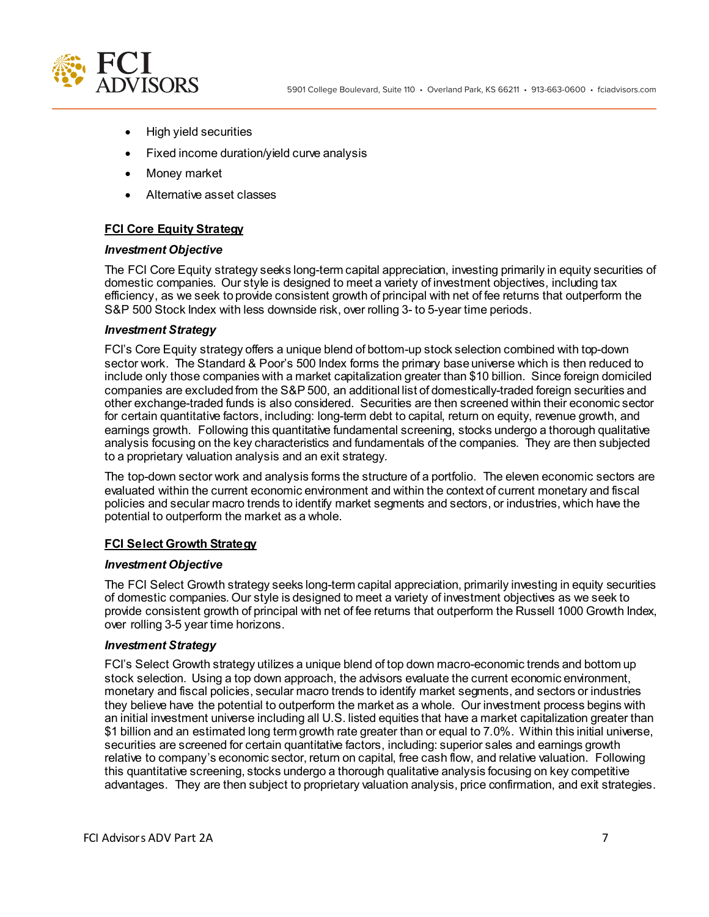

- High yield securities
- Fixed income duration/yield curve analysis
- Money market
- Alternative asset classes

## **FCI Core Equity Strategy**

#### *Investment Objective*

The FCI Core Equity strategy seeks long-term capital appreciation, investing primarily in equity securities of domestic companies. Our style is designed to meet a variety of investment objectives, including tax efficiency, as we seek to provide consistent growth of principal with net of fee returns that outperform the S&P 500 Stock Index with less downside risk, over rolling 3- to 5-year time periods.

#### *Investment Strategy*

FCI's Core Equity strategy offers a unique blend of bottom-up stock selection combined with top-down sector work. The Standard & Poor's 500 Index forms the primary base universe which is then reduced to include only those companies with a market capitalization greater than \$10 billion. Since foreign domiciled companies are excluded from the S&P 500, an additional list of domestically-traded foreign securities and other exchange-traded funds is also considered. Securities are then screened within their economic sector for certain quantitative factors, including: long-term debt to capital, return on equity, revenue growth, and earnings growth. Following this quantitative fundamental screening, stocks undergo a thorough qualitative analysis focusing on the key characteristics and fundamentals of the companies. They are then subjected to a proprietary valuation analysis and an exit strategy.

The top-down sector work and analysis forms the structure of a portfolio. The eleven economic sectors are evaluated within the current economic environment and within the context of current monetary and fiscal policies and secular macro trends to identify market segments and sectors, or industries, which have the potential to outperform the market as a whole.

### **FCI Select Growth Strategy**

### *Investment Objective*

The FCI Select Growth strategy seeks long-term capital appreciation, primarily investing in equity securities of domestic companies. Our style is designed to meet a variety of investment objectives as we seek to provide consistent growth of principal with net of fee returns that outperform the Russell 1000 Growth Index, over rolling 3-5 year time horizons.

### *Investment Strategy*

FCI's Select Growth strategy utilizes a unique blend of top down macro-economic trends and bottom up stock selection. Using a top down approach, the advisors evaluate the current economic environment, monetary and fiscal policies, secular macro trends to identify market segments, and sectors or industries they believe have the potential to outperform the market as a whole. Our investment process begins with an initial investment universe including all U.S. listed equities that have a market capitalization greater than \$1 billion and an estimated long term growth rate greater than or equal to 7.0%. Within this initial universe, securities are screened for certain quantitative factors, including: superior sales and earnings growth relative to company's economic sector, return on capital, free cash flow, and relative valuation. Following this quantitative screening, stocks undergo a thorough qualitative analysis focusing on key competitive advantages. They are then subject to proprietary valuation analysis, price confirmation, and exit strategies.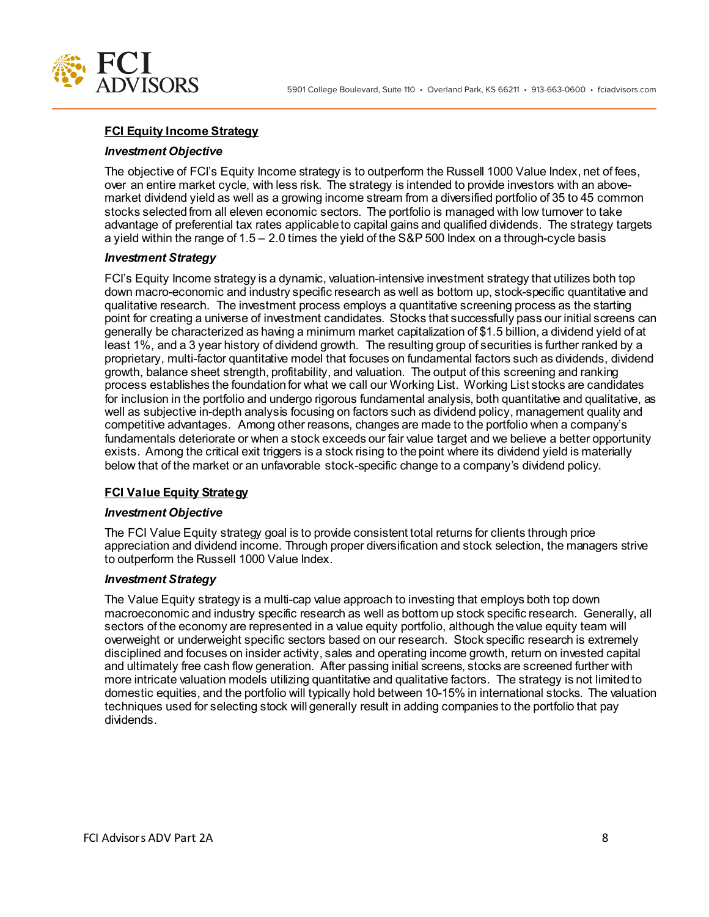

## **FCI Equity Income Strategy**

### *Investment Objective*

The objective of FCI's Equity Income strategy is to outperform the Russell 1000 Value Index, net of fees, over an entire market cycle, with less risk. The strategy is intended to provide investors with an abovemarket dividend yield as well as a growing income stream from a diversified portfolio of 35 to 45 common stocks selected from all eleven economic sectors. The portfolio is managed with low turnover to take advantage of preferential tax rates applicable to capital gains and qualified dividends. The strategy targets a yield within the range of 1.5 – 2.0 times the yield of the S&P 500 Index on a through-cycle basis

#### *Investment Strategy*

FCI's Equity Income strategy is a dynamic, valuation-intensive investment strategy that utilizes both top down macro-economic and industry specific research as well as bottom up, stock-specific quantitative and qualitative research. The investment process employs a quantitative screening process as the starting point for creating a universe of investment candidates. Stocks that successfully pass our initial screens can generally be characterized as having a minimum market capitalization of \$1.5 billion, a dividend yield of at least 1%, and a 3 year history of dividend growth. The resulting group of securities is further ranked by a proprietary, multi-factor quantitative model that focuses on fundamental factors such as dividends, dividend growth, balance sheet strength, profitability, and valuation. The output of this screening and ranking process establishes the foundation for what we call our Working List. Working List stocks are candidates for inclusion in the portfolio and undergo rigorous fundamental analysis, both quantitative and qualitative, as well as subjective in-depth analysis focusing on factors such as dividend policy, management quality and competitive advantages. Among other reasons, changes are made to the portfolio when a company's fundamentals deteriorate or when a stock exceeds our fair value target and we believe a better opportunity exists. Among the critical exit triggers is a stock rising to the point where its dividend yield is materially below that of the market or an unfavorable stock-specific change to a company's dividend policy.

### **FCI Value Equity Strategy**

#### *Investment Objective*

The FCI Value Equity strategy goal is to provide consistent total returns for clients through price appreciation and dividend income. Through proper diversification and stock selection, the managers strive to outperform the Russell 1000 Value Index.

### *Investment Strategy*

The Value Equity strategy is a multi-cap value approach to investing that employs both top down macroeconomic and industry specific research as well as bottom up stock specific research. Generally, all sectors of the economy are represented in a value equity portfolio, although the value equity team will overweight or underweight specific sectors based on our research. Stock specific research is extremely disciplined and focuses on insider activity, sales and operating income growth, return on invested capital and ultimately free cash flow generation. After passing initial screens, stocks are screened further with more intricate valuation models utilizing quantitative and qualitative factors. The strategy is not limited to domestic equities, and the portfolio will typically hold between 10-15% in international stocks. The valuation techniques used for selecting stock will generally result in adding companies to the portfolio that pay dividends.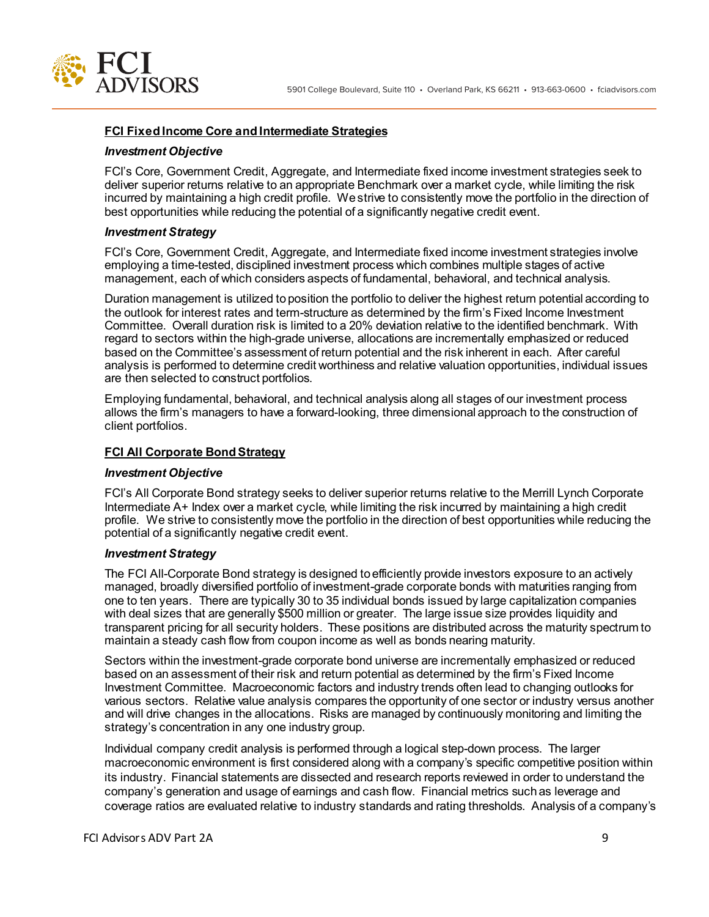

### **FCI Fixed Income Core and Intermediate Strategies**

#### *Investment Objective*

FCI's Core, Government Credit, Aggregate, and Intermediate fixed income investment strategies seek to deliver superior returns relative to an appropriate Benchmark over a market cycle, while limiting the risk incurred by maintaining a high credit profile. We strive to consistently move the portfolio in the direction of best opportunities while reducing the potential of a significantly negative credit event.

#### *Investment Strategy*

FCI's Core, Government Credit, Aggregate, and Intermediate fixed income investment strategies involve employing a time-tested, disciplined investment process which combines multiple stages of active management, each of which considers aspects of fundamental, behavioral, and technical analysis.

Duration management is utilized to position the portfolio to deliver the highest return potential according to the outlook for interest rates and term-structure as determined by the firm's Fixed Income Investment Committee. Overall duration risk is limited to a 20% deviation relative to the identified benchmark. With regard to sectors within the high-grade universe, allocations are incrementally emphasized or reduced based on the Committee's assessment of return potential and the risk inherent in each. After careful analysis is performed to determine credit worthiness and relative valuation opportunities, individual issues are then selected to construct portfolios.

Employing fundamental, behavioral, and technical analysis along all stages of our investment process allows the firm's managers to have a forward-looking, three dimensional approach to the construction of client portfolios.

#### **FCI All Corporate Bond Strategy**

#### *Investment Objective*

FCI's All Corporate Bond strategy seeks to deliver superior returns relative to the Merrill Lynch Corporate Intermediate A+ Index over a market cycle, while limiting the risk incurred by maintaining a high credit profile. We strive to consistently move the portfolio in the direction of best opportunities while reducing the potential of a significantly negative credit event.

### *Investment Strategy*

The FCI All-Corporate Bond strategy is designed to efficiently provide investors exposure to an actively managed, broadly diversified portfolio of investment-grade corporate bonds with maturities ranging from one to ten years. There are typically 30 to 35 individual bonds issued by large capitalization companies with deal sizes that are generally \$500 million or greater. The large issue size provides liquidity and transparent pricing for all security holders. These positions are distributed across the maturity spectrum to maintain a steady cash flow from coupon income as well as bonds nearing maturity.

Sectors within the investment-grade corporate bond universe are incrementally emphasized or reduced based on an assessment of their risk and return potential as determined by the firm's Fixed Income Investment Committee. Macroeconomic factors and industry trends often lead to changing outlooks for various sectors. Relative value analysis compares the opportunity of one sector or industry versus another and will drive changes in the allocations. Risks are managed by continuously monitoring and limiting the strategy's concentration in any one industry group.

Individual company credit analysis is performed through a logical step-down process. The larger macroeconomic environment is first considered along with a company's specific competitive position within its industry. Financial statements are dissected and research reports reviewed in order to understand the company's generation and usage of earnings and cash flow. Financial metrics such as leverage and coverage ratios are evaluated relative to industry standards and rating thresholds. Analysis of a company's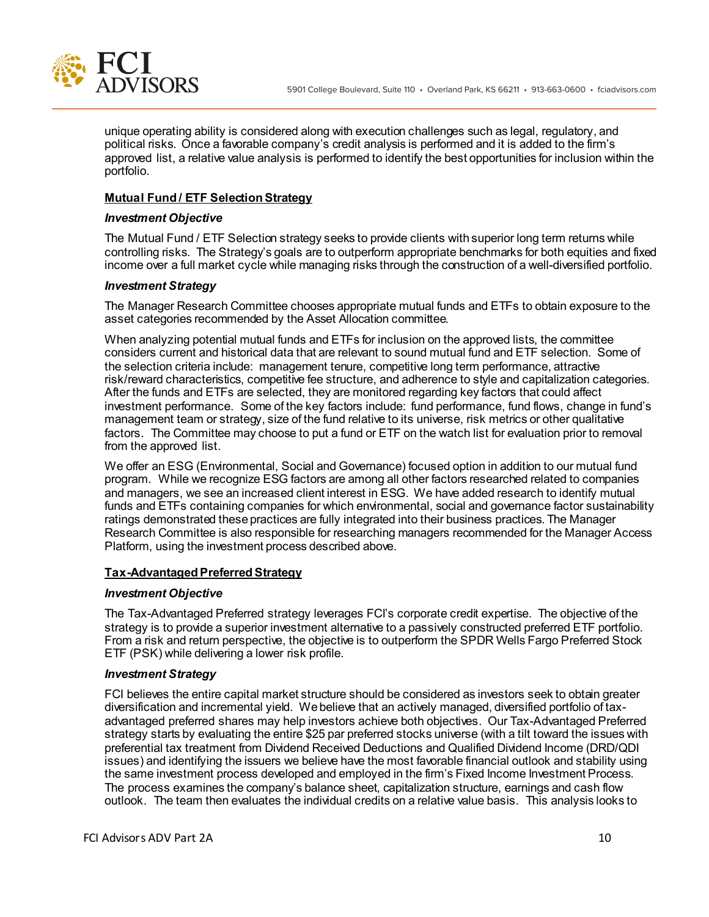

unique operating ability is considered along with execution challenges such as legal, regulatory, and political risks. Once a favorable company's credit analysis is performed and it is added to the firm's approved list, a relative value analysis is performed to identify the best opportunities for inclusion within the portfolio.

### **Mutual Fund / ETF Selection Strategy**

### *Investment Objective*

The Mutual Fund / ETF Selection strategy seeks to provide clients with superior long term returns while controlling risks. The Strategy's goals are to outperform appropriate benchmarks for both equities and fixed income over a full market cycle while managing risks through the construction of a well-diversified portfolio.

#### *Investment Strategy*

The Manager Research Committee chooses appropriate mutual funds and ETFs to obtain exposure to the asset categories recommended by the Asset Allocation committee.

When analyzing potential mutual funds and ETFs for inclusion on the approved lists, the committee considers current and historical data that are relevant to sound mutual fund and ETF selection. Some of the selection criteria include: management tenure, competitive long term performance, attractive risk/reward characteristics, competitive fee structure, and adherence to style and capitalization categories. After the funds and ETFs are selected, they are monitored regarding key factors that could affect investment performance. Some of the key factors include: fund performance, fund flows, change in fund's management team or strategy, size of the fund relative to its universe, risk metrics or other qualitative factors. The Committee may choose to put a fund or ETF on the watch list for evaluation prior to removal from the approved list.

We offer an ESG (Environmental, Social and Governance) focused option in addition to our mutual fund program. While we recognize ESG factors are among all other factors researched related to companies and managers, we see an increased client interest in ESG. We have added research to identify mutual funds and ETFs containing companies for which environmental, social and governance factor sustainability ratings demonstrated these practices are fully integrated into their business practices. The Manager Research Committee is also responsible for researching managers recommended for the Manager Access Platform, using the investment process described above.

### **Tax-Advantaged Preferred Strategy**

#### *Investment Objective*

The Tax-Advantaged Preferred strategy leverages FCI's corporate credit expertise. The objective of the strategy is to provide a superior investment alternative to a passively constructed preferred ETF portfolio. From a risk and return perspective, the objective is to outperform the SPDR Wells Fargo Preferred Stock ETF (PSK) while delivering a lower risk profile.

### *Investment Strategy*

FCI believes the entire capital market structure should be considered as investors seek to obtain greater diversification and incremental yield. We believe that an actively managed, diversified portfolio of taxadvantaged preferred shares may help investors achieve both objectives. Our Tax-Advantaged Preferred strategy starts by evaluating the entire \$25 par preferred stocks universe (with a tilt toward the issues with preferential tax treatment from Dividend Received Deductions and Qualified Dividend Income (DRD/QDI issues) and identifying the issuers we believe have the most favorable financial outlook and stability using the same investment process developed and employed in the firm's Fixed Income Investment Process. The process examines the company's balance sheet, capitalization structure, earnings and cash flow outlook. The team then evaluates the individual credits on a relative value basis. This analysis looks to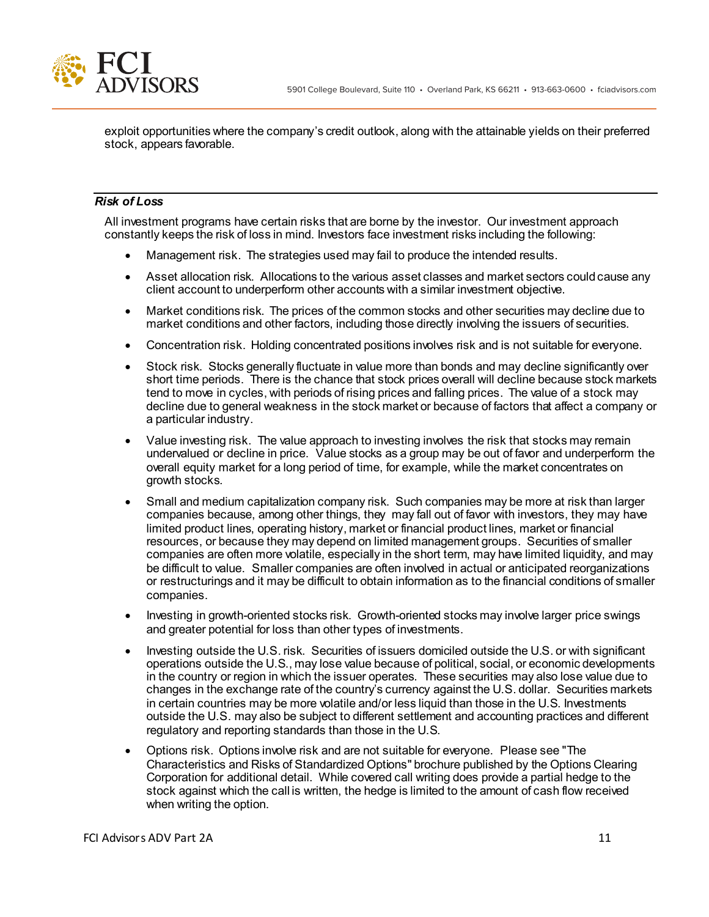



exploit opportunities where the company's credit outlook, along with the attainable yields on their preferred stock, appears favorable.

## *Risk of Loss*

All investment programs have certain risks that are borne by the investor. Our investment approach constantly keeps the risk of loss in mind. Investors face investment risks including the following:

- Management risk.The strategies used may fail to produce the intended results.
- Asset allocation risk.Allocations to the various asset classes and market sectors could cause any client account to underperform other accounts with a similar investment objective.
- Market conditions risk.The prices of the common stocks and other securities may decline due to market conditions and other factors, including those directly involving the issuers of securities.
- Concentration risk.Holding concentrated positions involves risk and is not suitable for everyone.
- Stock risk. Stocks generally fluctuate in value more than bonds and may decline significantly over short time periods. There is the chance that stock prices overall will decline because stock markets tend to move in cycles, with periods of rising prices and falling prices. The value of a stock may decline due to general weakness in the stock market or because of factors that affect a company or a particular industry.
- Value investing risk. The value approach to investing involves the risk that stocks may remain undervalued or decline in price. Value stocks as a group may be out of favor and underperform the overall equity market for a long period of time, for example, while the market concentrates on growth stocks.
- Small and medium capitalization company risk.Such companies may be more at risk than larger companies because, among other things, they may fall out of favor with investors, they may have limited product lines, operating history, market or financial product lines, market or financial resources, or because they may depend on limited management groups. Securities of smaller companies are often more volatile, especially in the short term, may have limited liquidity, and may be difficult to value. Smaller companies are often involved in actual or anticipated reorganizations or restructurings and it may be difficult to obtain information as to the financial conditions of smaller companies.
- Investing in growth-oriented stocks risk. Growth-oriented stocks may involve larger price swings and greater potential for loss than other types of investments.
- Investing outside the U.S. risk. Securities of issuers domiciled outside the U.S. or with significant operations outside the U.S., may lose value because of political, social, or economic developments in the country or region in which the issuer operates. These securities may also lose value due to changes in the exchange rate of the country's currency against the U.S. dollar. Securities markets in certain countries may be more volatile and/or less liquid than those in the U.S. Investments outside the U.S. may also be subject to different settlement and accounting practices and different regulatory and reporting standards than those in the U.S.
- Options risk. Options involve risk and are not suitable for everyone. Please see "The Characteristics and Risks of Standardized Options" brochure published by the Options Clearing Corporation for additional detail. While covered call writing does provide a partial hedge to the stock against which the call is written, the hedge is limited to the amount of cash flow received when writing the option.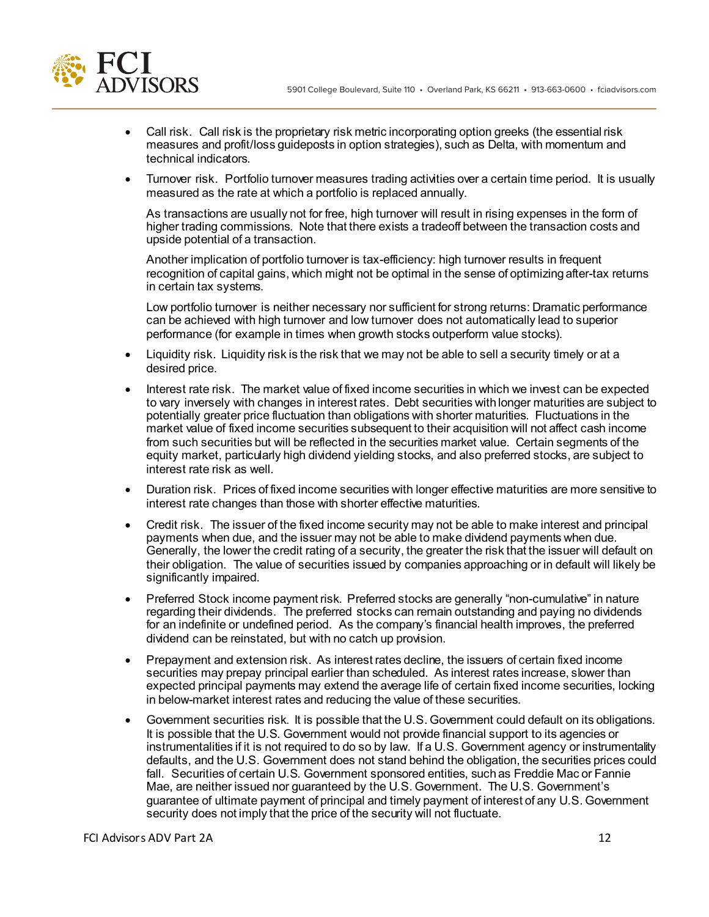

- Call risk. Call risk is the proprietary risk metric incorporating option greeks (the essential risk measures and profit/loss guideposts in option strategies), such as Delta, with momentum and technical indicators.
- Turnover risk. Portfolio turnover measures trading activities over a certain time period. It is usually measured as the rate at which a portfolio is replaced annually.

As transactions are usually not for free, high turnover will result in rising expenses in the form of higher trading commissions. Note that there exists a tradeoff between the transaction costs and upside potential of a transaction.

Another implication of portfolio turnover is tax-efficiency: high turnover results in frequent recognition of capital gains, which might not be optimal in the sense of optimizing after-tax returns in certain tax systems.

Low portfolio turnover is neither necessary nor sufficient for strong returns: Dramatic performance can be achieved with high turnover and low turnover does not automatically lead to superior performance (for example in times when growth stocks outperform value stocks).

- Liquidity risk. Liquidity risk is the risk that we may not be able to sell a security timely or at a desired price.
- Interest rate risk.The market value of fixed income securities in which we invest can be expected to vary inversely with changes in interest rates. Debt securities with longer maturities are subject to potentially greater price fluctuation than obligations with shorter maturities. Fluctuations in the market value of fixed income securities subsequent to their acquisition will not affect cash income from such securities but will be reflected in the securities market value. Certain segments of the equity market, particularly high dividend yielding stocks, and also preferred stocks, are subject to interest rate risk as well.
- Duration risk.Prices of fixed income securities with longer effective maturities are more sensitive to interest rate changes than those with shorter effective maturities.
- Credit risk. The issuer of the fixed income security may not be able to make interest and principal payments when due, and the issuer may not be able to make dividend payments when due. Generally, the lower the credit rating of a security, the greater the risk that the issuer will default on their obligation. The value of securities issued by companies approaching or in default will likely be significantly impaired.
- Preferred Stock income payment risk. Preferred stocks are generally "non-cumulative" in nature regarding their dividends. The preferred stocks can remain outstanding and paying no dividends for an indefinite or undefined period. As the company's financial health improves, the preferred dividend can be reinstated, but with no catch up provision.
- Prepayment and extension risk.As interest rates decline, the issuers of certain fixed income securities may prepay principal earlier than scheduled. As interest rates increase, slower than expected principal payments may extend the average life of certain fixed income securities, locking in below-market interest rates and reducing the value of these securities.
- Government securities risk.It is possible that the U.S. Government could default on its obligations. It is possible that the U.S. Government would not provide financial support to its agencies or instrumentalities if it is not required to do so by law. If a U.S. Government agency or instrumentality defaults, and the U.S. Government does not stand behind the obligation, the securities prices could fall. Securities of certain U.S. Government sponsored entities, such as Freddie Mac or Fannie Mae, are neither issued nor guaranteed by the U.S. Government. The U.S. Government's guarantee of ultimate payment of principal and timely payment of interest of any U.S. Government security does not imply that the price of the security will not fluctuate.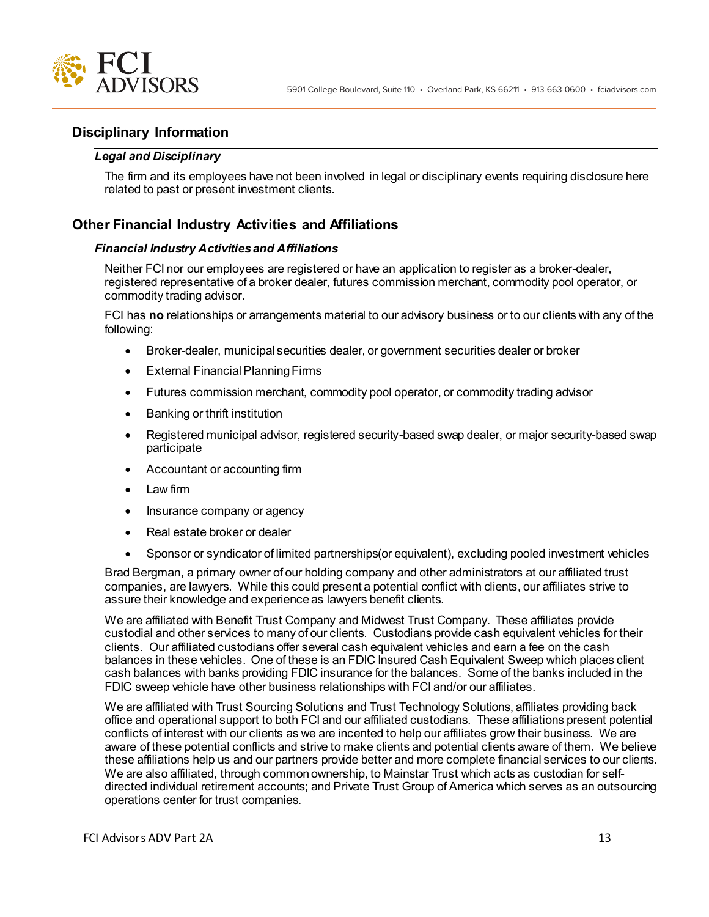

# **Disciplinary Information**

### *Legal and Disciplinary*

The firm and its employees have not been involved in legal or disciplinary events requiring disclosure here related to past or present investment clients.

## **Other Financial Industry Activities and Affiliations**

### *Financial Industry Activities and Affiliations*

Neither FCI nor our employees are registered or have an application to register as a broker-dealer, registered representative of a broker dealer, futures commission merchant, commodity pool operator, or commodity trading advisor.

FCI has **no** relationships or arrangements material to our advisory business or to our clients with any of the following:

- Broker-dealer, municipal securities dealer, or government securities dealer or broker
- External Financial Planning Firms
- Futures commission merchant, commodity pool operator, or commodity trading advisor
- Banking or thrift institution
- Registered municipal advisor, registered security-based swap dealer, or major security-based swap participate
- Accountant or accounting firm
- Law firm
- Insurance company or agency
- Real estate broker or dealer
- Sponsor or syndicator of limited partnerships(or equivalent), excluding pooled investment vehicles

Brad Bergman, a primary owner of our holding company and other administrators at our affiliated trust companies, are lawyers. While this could present a potential conflict with clients, our affiliates strive to assure their knowledge and experience as lawyers benefit clients.

We are affiliated with Benefit Trust Company and Midwest Trust Company. These affiliates provide custodial and other services to many of our clients. Custodians provide cash equivalent vehicles for their clients. Our affiliated custodians offer several cash equivalent vehicles and earn a fee on the cash balances in these vehicles. One of these is an FDIC Insured Cash Equivalent Sweep which places client cash balances with banks providing FDIC insurance for the balances. Some of the banks included in the FDIC sweep vehicle have other business relationships with FCI and/or our affiliates.

We are affiliated with Trust Sourcing Solutions and Trust Technology Solutions, affiliates providing back office and operational support to both FCI and our affiliated custodians. These affiliations present potential conflicts of interest with our clients as we are incented to help our affiliates grow their business. We are aware of these potential conflicts and strive to make clients and potential clients aware of them. We believe these affiliations help us and our partners provide better and more complete financial services to our clients. We are also affiliated, through common ownership, to Mainstar Trust which acts as custodian for selfdirected individual retirement accounts; and Private Trust Group of America which serves as an outsourcing operations center for trust companies.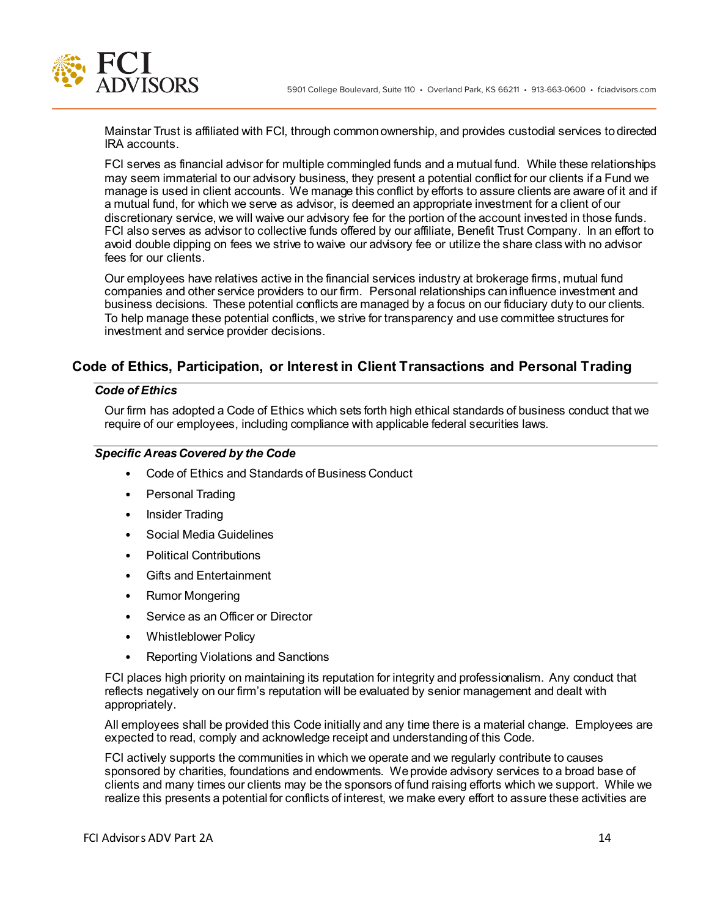

Mainstar Trust is affiliated with FCI, through common ownership, and provides custodial services to directed IRA accounts.

FCI serves as financial advisor for multiple commingled funds and a mutual fund. While these relationships may seem immaterial to our advisory business, they present a potential conflict for our clients if a Fund we manage is used in client accounts. We manage this conflict by efforts to assure clients are aware of it and if a mutual fund, for which we serve as advisor, is deemed an appropriate investment for a client of our discretionary service, we will waive our advisory fee for the portion of the account invested in those funds. FCI also serves as advisor to collective funds offered by our affiliate, Benefit Trust Company. In an effort to avoid double dipping on fees we strive to waive our advisory fee or utilize the share class with no advisor fees for our clients.

Our employees have relatives active in the financial services industry at brokerage firms, mutual fund companies and other service providers to our firm. Personal relationships can influence investment and business decisions. These potential conflicts are managed by a focus on our fiduciary duty to our clients. To help manage these potential conflicts, we strive for transparency and use committee structures for investment and service provider decisions.

# **Code of Ethics, Participation, or Interest in Client Transactions and Personal Trading**

## *Code of Ethics*

Our firm has adopted a Code of Ethics which sets forth high ethical standards of business conduct that we require of our employees, including compliance with applicable federal securities laws.

## *Specific Areas Covered by the Code*

- Code of Ethics and Standards of Business Conduct
- Personal Trading
- Insider Trading
- Social Media Guidelines
- Political Contributions
- Gifts and Entertainment
- Rumor Mongering
- Service as an Officer or Director
- Whistleblower Policy
- Reporting Violations and Sanctions

FCI places high priority on maintaining its reputation for integrity and professionalism. Any conduct that reflects negatively on our firm's reputation will be evaluated by senior management and dealt with appropriately.

All employees shall be provided this Code initially and any time there is a material change. Employees are expected to read, comply and acknowledge receipt and understanding of this Code.

FCI actively supports the communities in which we operate and we regularly contribute to causes sponsored by charities, foundations and endowments. We provide advisory services to a broad base of clients and many times our clients may be the sponsors of fund raising efforts which we support. While we realize this presents a potential for conflicts of interest, we make every effort to assure these activities are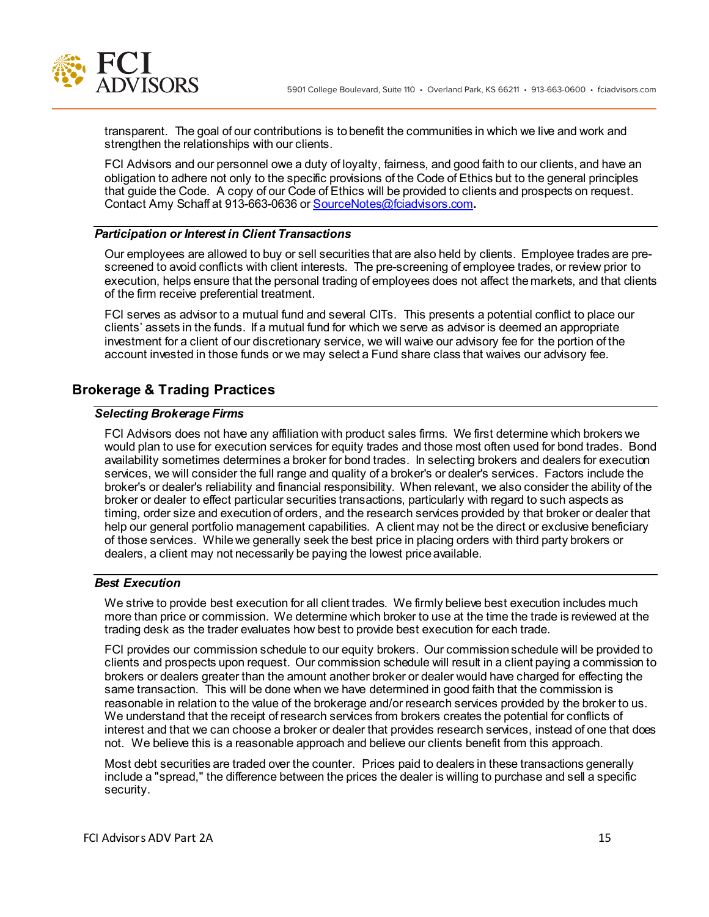

transparent. The goal of our contributions is to benefit the communities in which we live and work and strengthen the relationships with our clients.

FCI Advisors and our personnel owe a duty of loyalty, fairness, and good faith to our clients, and have an obligation to adhere not only to the specific provisions of the Code of Ethics but to the general principles that guide the Code. A copy of our Code of Ethics will be provided to clients and prospects on request. Contact Amy Schaff at 913-663-0636 or SourceNotes@fciadvisors.com**.**

### *Participation or Interest in Client Transactions*

Our employees are allowed to buy or sell securities that are also held by clients. Employee trades are prescreened to avoid conflicts with client interests. The pre-screening of employee trades, or review prior to execution, helps ensure that the personal trading of employees does not affect the markets, and that clients of the firm receive preferential treatment.

FCI serves as advisor to a mutual fund and several CITs. This presents a potential conflict to place our clients' assets in the funds. If a mutual fund for which we serve as advisor is deemed an appropriate investment for a client of our discretionary service, we will waive our advisory fee for the portion of the account invested in those funds or we may select a Fund share class that waives our advisory fee.

# **Brokerage & Trading Practices**

## *Selecting Brokerage Firms*

FCI Advisors does not have any affiliation with product sales firms. We first determine which brokers we would plan to use for execution services for equity trades and those most often used for bond trades. Bond availability sometimes determines a broker for bond trades. In selecting brokers and dealers for execution services, we will consider the full range and quality of a broker's or dealer's services. Factors include the broker's or dealer's reliability and financial responsibility. When relevant, we also consider the ability of the broker or dealer to effect particular securities transactions, particularly with regard to such aspects as timing, order size and execution of orders, and the research services provided by that broker or dealer that help our general portfolio management capabilities. A client may not be the direct or exclusive beneficiary of those services. While we generally seek the best price in placing orders with third party brokers or dealers, a client may not necessarily be paying the lowest price available.

### *Best Execution*

We strive to provide best execution for all client trades. We firmly believe best execution includes much more than price or commission. We determine which broker to use at the time the trade is reviewed at the trading desk as the trader evaluates how best to provide best execution for each trade.

FCI provides our commission schedule to our equity brokers. Our commission schedule will be provided to clients and prospects upon request. Our commission schedule will result in a client paying a commission to brokers or dealers greater than the amount another broker or dealer would have charged for effecting the same transaction. This will be done when we have determined in good faith that the commission is reasonable in relation to the value of the brokerage and/or research services provided by the broker to us. We understand that the receipt of research services from brokers creates the potential for conflicts of interest and that we can choose a broker or dealer that provides research services, instead of one that does not. We believe this is a reasonable approach and believe our clients benefit from this approach.

Most debt securities are traded over the counter. Prices paid to dealers in these transactions generally include a "spread," the difference between the prices the dealer is willing to purchase and sell a specific security.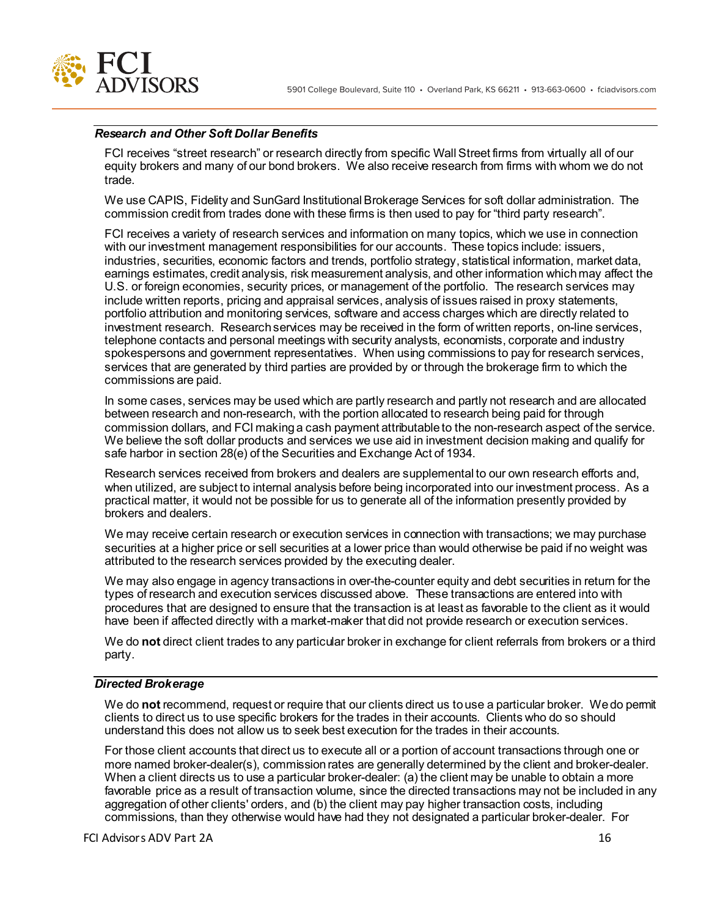

### *Research and Other Soft Dollar Benefits*

FCI receives "street research" or research directly from specific Wall Street firms from virtually all of our equity brokers and many of our bond brokers. We also receive research from firms with whom we do not trade.

We use CAPIS, Fidelity and SunGard Institutional Brokerage Services for soft dollar administration. The commission credit from trades done with these firms is then used to pay for "third party research".

FCI receives a variety of research services and information on many topics, which we use in connection with our investment management responsibilities for our accounts. These topics include: issuers, industries, securities, economic factors and trends, portfolio strategy, statistical information, market data, earnings estimates, credit analysis, risk measurement analysis, and other information which may affect the U.S. or foreign economies, security prices, or management of the portfolio. The research services may include written reports, pricing and appraisal services, analysis of issues raised in proxy statements, portfolio attribution and monitoring services, software and access charges which are directly related to investment research. Research services may be received in the form of written reports, on-line services, telephone contacts and personal meetings with security analysts, economists, corporate and industry spokespersons and government representatives. When using commissions to pay for research services, services that are generated by third parties are provided by or through the brokerage firm to which the commissions are paid.

In some cases, services may be used which are partly research and partly not research and are allocated between research and non-research, with the portion allocated to research being paid for through commission dollars, and FCI making a cash payment attributable to the non-research aspect of the service. We believe the soft dollar products and services we use aid in investment decision making and qualify for safe harbor in section 28(e) of the Securities and Exchange Act of 1934.

Research services received from brokers and dealers are supplemental to our own research efforts and, when utilized, are subject to internal analysis before being incorporated into our investment process. As a practical matter, it would not be possible for us to generate all of the information presently provided by brokers and dealers.

We may receive certain research or execution services in connection with transactions; we may purchase securities at a higher price or sell securities at a lower price than would otherwise be paid if no weight was attributed to the research services provided by the executing dealer.

We may also engage in agency transactions in over-the-counter equity and debt securities in return for the types of research and execution services discussed above. These transactions are entered into with procedures that are designed to ensure that the transaction is at least as favorable to the client as it would have been if affected directly with a market-maker that did not provide research or execution services.

We do **not** direct client trades to any particular broker in exchange for client referrals from brokers or a third party.

#### *Directed Brokerage*

We do **not** recommend, request or require that our clients direct us to use a particular broker. We do permit clients to direct us to use specific brokers for the trades in their accounts. Clients who do so should understand this does not allow us to seek best execution for the trades in their accounts.

For those client accounts that direct us to execute all or a portion of account transactions through one or more named broker-dealer(s), commission rates are generally determined by the client and broker-dealer. When a client directs us to use a particular broker-dealer: (a) the client may be unable to obtain a more favorable price as a result of transaction volume, since the directed transactions may not be included in any aggregation of other clients' orders, and (b) the client may pay higher transaction costs, including commissions, than they otherwise would have had they not designated a particular broker-dealer. For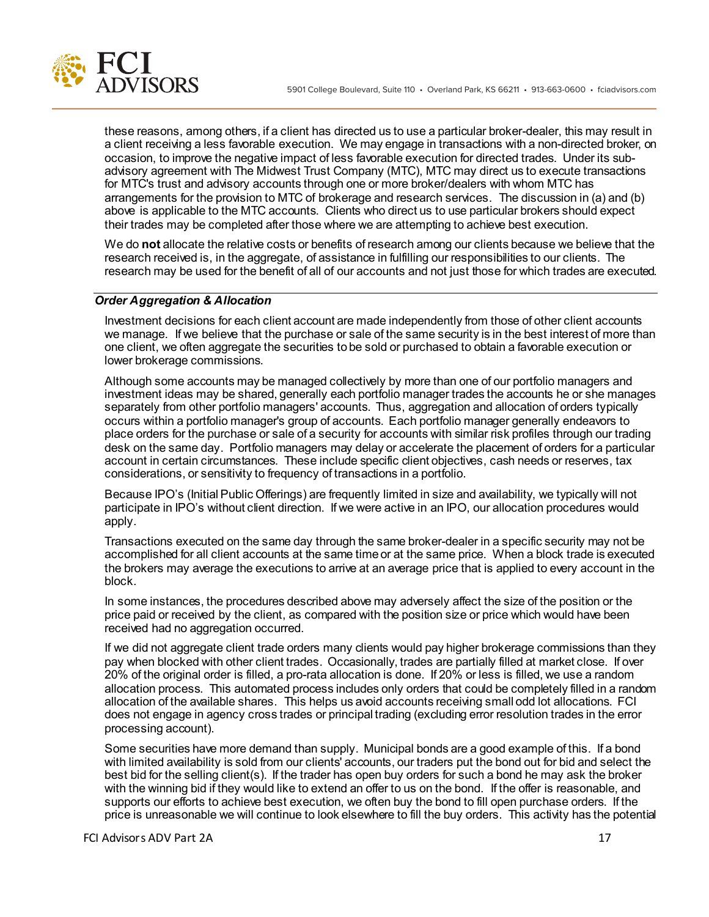

these reasons, among others, if a client has directed us to use a particular broker-dealer, this may result in a client receiving a less favorable execution. We may engage in transactions with a non-directed broker, on occasion, to improve the negative impact of less favorable execution for directed trades. Under its subadvisory agreement with The Midwest Trust Company (MTC), MTC may direct us to execute transactions for MTC's trust and advisory accounts through one or more broker/dealers with whom MTC has arrangements for the provision to MTC of brokerage and research services. The discussion in (a) and (b) above is applicable to the MTC accounts. Clients who direct us to use particular brokers should expect their trades may be completed after those where we are attempting to achieve best execution.

We do **not** allocate the relative costs or benefits of research among our clients because we believe that the research received is, in the aggregate, of assistance in fulfilling our responsibilities to our clients. The research may be used for the benefit of all of our accounts and not just those for which trades are executed.

## *Order Aggregation & Allocation*

Investment decisions for each client account are made independently from those of other client accounts we manage. If we believe that the purchase or sale of the same security is in the best interest of more than one client, we often aggregate the securities to be sold or purchased to obtain a favorable execution or lower brokerage commissions.

Although some accounts may be managed collectively by more than one of our portfolio managers and investment ideas may be shared, generally each portfolio manager trades the accounts he or she manages separately from other portfolio managers' accounts. Thus, aggregation and allocation of orders typically occurs within a portfolio manager's group of accounts. Each portfolio manager generally endeavors to place orders for the purchase or sale of a security for accounts with similar risk profiles through our trading desk on the same day. Portfolio managers may delay or accelerate the placement of orders for a particular account in certain circumstances. These include specific client objectives, cash needs or reserves, tax considerations, or sensitivity to frequency of transactions in a portfolio.

Because IPO's (Initial Public Offerings) are frequently limited in size and availability, we typically will not participate in IPO's without client direction. If we were active in an IPO, our allocation procedures would apply.

Transactions executed on the same day through the same broker-dealer in a specific security may not be accomplished for all client accounts at the same time or at the same price. When a block trade is executed the brokers may average the executions to arrive at an average price that is applied to every account in the block.

In some instances, the procedures described above may adversely affect the size of the position or the price paid or received by the client, as compared with the position size or price which would have been received had no aggregation occurred.

If we did not aggregate client trade orders many clients would pay higher brokerage commissions than they pay when blocked with other client trades. Occasionally, trades are partially filled at market close. If over 20% of the original order is filled, a pro-rata allocation is done. If 20% or less is filled, we use a random allocation process. This automated process includes only orders that could be completely filled in a random allocation of the available shares. This helps us avoid accounts receiving small odd lot allocations. FCI does not engage in agency cross trades or principal trading (excluding error resolution trades in the error processing account).

Some securities have more demand than supply. Municipal bonds are a good example of this. If a bond with limited availability is sold from our clients' accounts, our traders put the bond out for bid and select the best bid for the selling client(s). If the trader has open buy orders for such a bond he may ask the broker with the winning bid if they would like to extend an offer to us on the bond. If the offer is reasonable, and supports our efforts to achieve best execution, we often buy the bond to fill open purchase orders. If the price is unreasonable we will continue to look elsewhere to fill the buy orders. This activity has the potential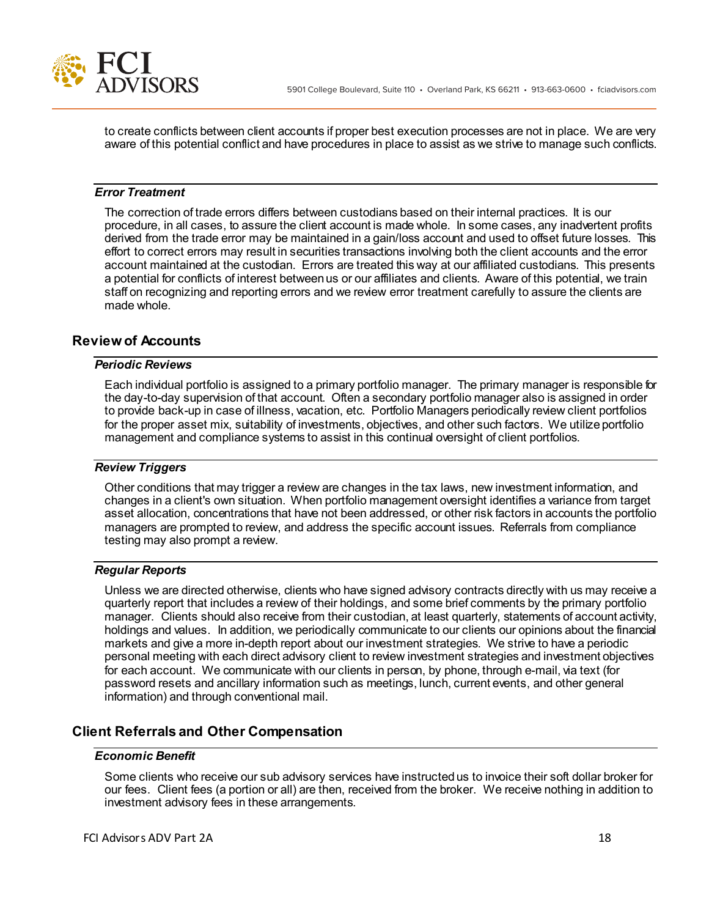to create conflicts between client accounts if proper best execution processes are not in place. We are very aware of this potential conflict and have procedures in place to assist as we strive to manage such conflicts.

### *Error Treatment*

The correction of trade errors differs between custodians based on their internal practices. It is our procedure, in all cases, to assure the client account is made whole. In some cases, any inadvertent profits derived from the trade error may be maintained in a gain/loss account and used to offset future losses. This effort to correct errors may result in securities transactions involving both the client accounts and the error account maintained at the custodian. Errors are treated this way at our affiliated custodians. This presents a potential for conflicts of interest between us or our affiliates and clients. Aware of this potential, we train staff on recognizing and reporting errors and we review error treatment carefully to assure the clients are made whole.

## **Review of Accounts**

### *Periodic Reviews*

Each individual portfolio is assigned to a primary portfolio manager. The primary manager is responsible for the day-to-day supervision of that account. Often a secondary portfolio manager also is assigned in order to provide back-up in case of illness, vacation, etc. Portfolio Managers periodically review client portfolios for the proper asset mix, suitability of investments, objectives, and other such factors. We utilize portfolio management and compliance systems to assist in this continual oversight of client portfolios.

#### *Review Triggers*

Other conditions that may trigger a review are changes in the tax laws, new investment information, and changes in a client's own situation. When portfolio management oversight identifies a variance from target asset allocation, concentrations that have not been addressed, or other risk factors in accounts the portfolio managers are prompted to review, and address the specific account issues. Referrals from compliance testing may also prompt a review.

### *Regular Reports*

Unless we are directed otherwise, clients who have signed advisory contracts directly with us may receive a quarterly report that includes a review of their holdings, and some brief comments by the primary portfolio manager. Clients should also receive from their custodian, at least quarterly, statements of account activity, holdings and values. In addition, we periodically communicate to our clients our opinions about the financial markets and give a more in-depth report about our investment strategies. We strive to have a periodic personal meeting with each direct advisory client to review investment strategies and investment objectives for each account. We communicate with our clients in person, by phone, through e-mail, via text (for password resets and ancillary information such as meetings, lunch, current events, and other general information) and through conventional mail.

## **Client Referrals and Other Compensation**

### *Economic Benefit*

Some clients who receive our sub advisory services have instructed us to invoice their soft dollar broker for our fees. Client fees (a portion or all) are then, received from the broker. We receive nothing in addition to investment advisory fees in these arrangements.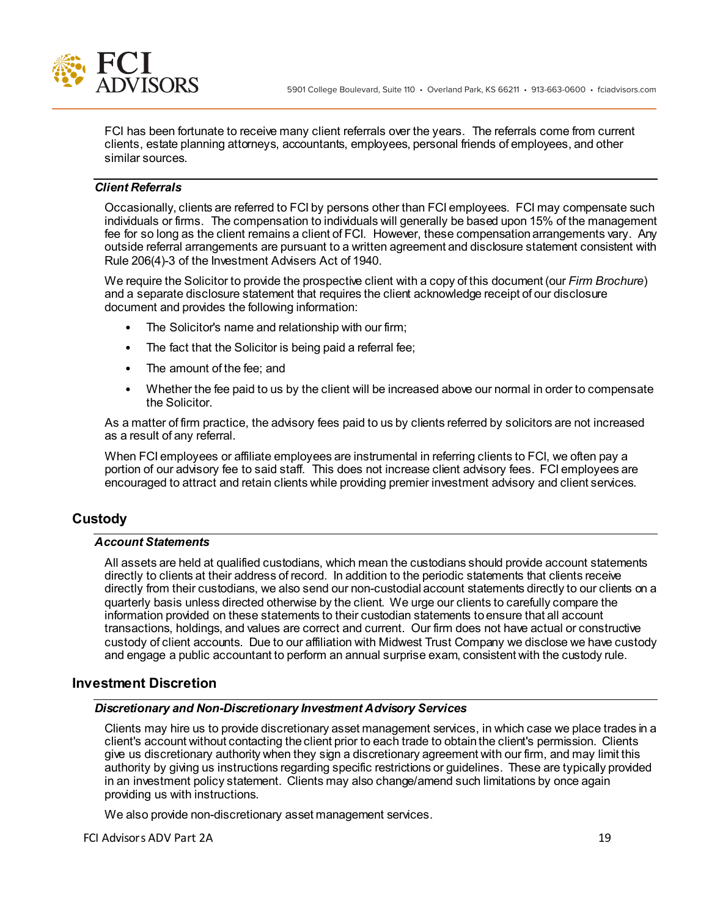

FCI has been fortunate to receive many client referrals over the years. The referrals come from current clients, estate planning attorneys, accountants, employees, personal friends of employees, and other similar sources.

## *Client Referrals*

Occasionally, clients are referred to FCI by persons other than FCI employees. FCI may compensate such individuals or firms. The compensation to individuals will generally be based upon 15% of the management fee for so long as the client remains a client of FCI. However, these compensation arrangements vary. Any outside referral arrangements are pursuant to a written agreement and disclosure statement consistent with Rule 206(4)-3 of the Investment Advisers Act of 1940.

We require the Solicitor to provide the prospective client with a copy of this document (our *Firm Brochure*) and a separate disclosure statement that requires the client acknowledge receipt of our disclosure document and provides the following information:

- The Solicitor's name and relationship with our firm;
- The fact that the Solicitor is being paid a referral fee;
- The amount of the fee; and
- Whether the fee paid to us by the client will be increased above our normal in order to compensate the Solicitor.

As a matter of firm practice, the advisory fees paid to us by clients referred by solicitors are not increased as a result of any referral.

When FCI employees or affiliate employees are instrumental in referring clients to FCI, we often pay a portion of our advisory fee to said staff. This does not increase client advisory fees. FCI employees are encouraged to attract and retain clients while providing premier investment advisory and client services.

# **Custody**

### *Account Statements*

All assets are held at qualified custodians, which mean the custodians should provide account statements directly to clients at their address of record. In addition to the periodic statements that clients receive directly from their custodians, we also send our non-custodial account statements directly to our clients on a quarterly basis unless directed otherwise by the client. We urge our clients to carefully compare the information provided on these statements to their custodian statements to ensure that all account transactions, holdings, and values are correct and current. Our firm does not have actual or constructive custody of client accounts. Due to our affiliation with Midwest Trust Company we disclose we have custody and engage a public accountant to perform an annual surprise exam, consistent with the custody rule.

## **Investment Discretion**

## *Discretionary and Non-Discretionary Investment Advisory Services*

Clients may hire us to provide discretionary asset management services, in which case we place trades in a client's account without contacting the client prior to each trade to obtain the client's permission. Clients give us discretionary authority when they sign a discretionary agreement with our firm, and may limit this authority by giving us instructions regarding specific restrictions or guidelines. These are typically provided in an investment policy statement. Clients may also change/amend such limitations by once again providing us with instructions.

We also provide non-discretionary asset management services.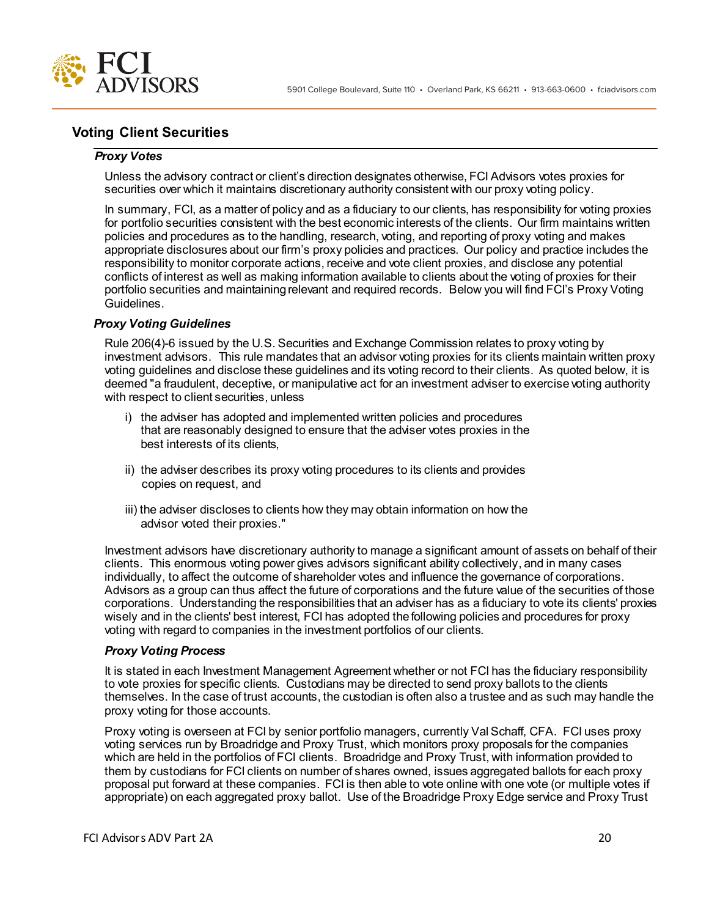

# **Voting Client Securities**

## *Proxy Votes*

Unless the advisory contract or client's direction designates otherwise, FCI Advisors votes proxies for securities over which it maintains discretionary authority consistent with our proxy voting policy.

In summary, FCI, as a matter of policy and as a fiduciary to our clients, has responsibility for voting proxies for portfolio securities consistent with the best economic interests of the clients. Our firm maintains written policies and procedures as to the handling, research, voting, and reporting of proxy voting and makes appropriate disclosures about our firm's proxy policies and practices. Our policy and practice includes the responsibility to monitor corporate actions, receive and vote client proxies, and disclose any potential conflicts of interest as well as making information available to clients about the voting of proxies for their portfolio securities and maintaining relevant and required records. Below you will find FCI's Proxy Voting Guidelines.

### *Proxy Voting Guidelines*

Rule 206(4)-6 issued by the U.S. Securities and Exchange Commission relates to proxy voting by investment advisors. This rule mandates that an advisor voting proxies for its clients maintain written proxy voting guidelines and disclose these guidelines and its voting record to their clients. As quoted below, it is deemed "a fraudulent, deceptive, or manipulative act for an investment adviser to exercise voting authority with respect to client securities, unless

- i) the adviser has adopted and implemented written policies and procedures that are reasonably designed to ensure that the adviser votes proxies in the best interests of its clients,
- ii) the adviser describes its proxy voting procedures to its clients and provides copies on request, and
- iii) the adviser discloses to clients how they may obtain information on how the advisor voted their proxies."

Investment advisors have discretionary authority to manage a significant amount of assets on behalf of their clients. This enormous voting power gives advisors significant ability collectively, and in many cases individually, to affect the outcome of shareholder votes and influence the governance of corporations. Advisors as a group can thus affect the future of corporations and the future value of the securities of those corporations. Understanding the responsibilities that an adviser has as a fiduciary to vote its clients' proxies wisely and in the clients' best interest, FCI has adopted the following policies and procedures for proxy voting with regard to companies in the investment portfolios of our clients.

### *Proxy Voting Process*

It is stated in each Investment Management Agreement whether or not FCI has the fiduciary responsibility to vote proxies for specific clients. Custodians may be directed to send proxy ballots to the clients themselves. In the case of trust accounts, the custodian is often also a trustee and as such may handle the proxy voting for those accounts.

Proxy voting is overseen at FCI by senior portfolio managers, currently Val Schaff, CFA. FCI uses proxy voting services run by Broadridge and Proxy Trust, which monitors proxy proposals for the companies which are held in the portfolios of FCI clients. Broadridge and Proxy Trust, with information provided to them by custodians for FCI clients on number of shares owned, issues aggregated ballots for each proxy proposal put forward at these companies. FCI is then able to vote online with one vote (or multiple votes if appropriate) on each aggregated proxy ballot. Use of the Broadridge Proxy Edge service and Proxy Trust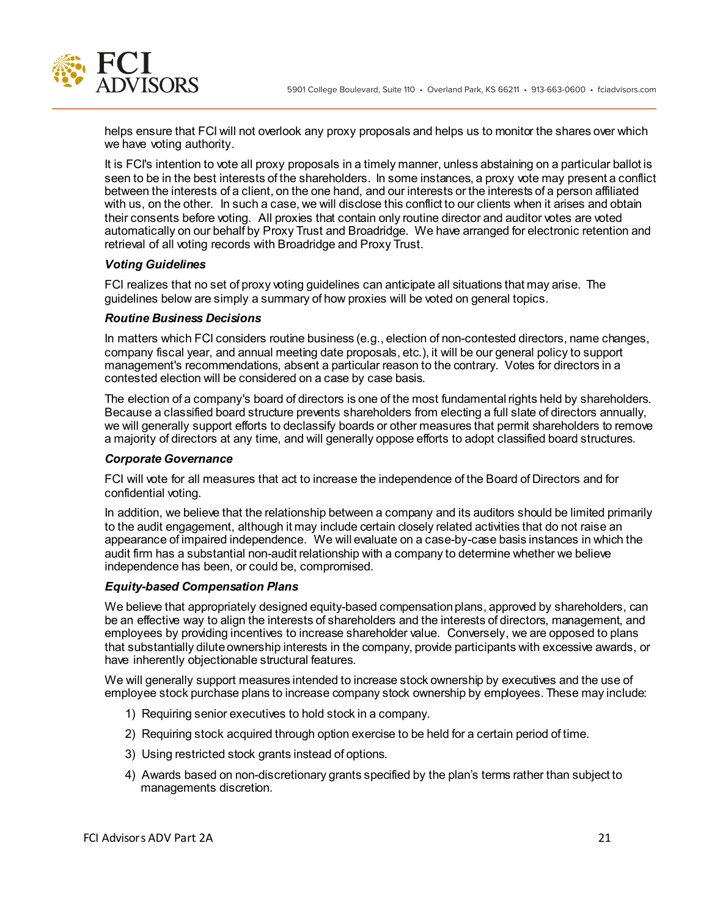

helps ensure that FCI will not overlook any proxy proposals and helps us to monitor the shares over which we have voting authority.

It is FCI's intention to vote all proxy proposals in a timely manner, unless abstaining on a particular ballot is seen to be in the best interests of the shareholders. In some instances, a proxy vote may present a conflict between the interests of a client, on the one hand, and our interests or the interests of a person affiliated with us, on the other. In such a case, we will disclose this conflict to our clients when it arises and obtain their consents before voting. All proxies that contain only routine director and auditor votes are voted automatically on our behalf by Proxy Trust and Broadridge. We have arranged for electronic retention and retrieval of all voting records with Broadridge and Proxy Trust.

## *Voting Guidelines*

FCI realizes that no set of proxy voting guidelines can anticipate all situations that may arise. The guidelines below are simply a summary of how proxies will be voted on general topics.

### *Routine Business Decisions*

In matters which FCI considers routine business (e.g., election of non-contested directors, name changes, company fiscal year, and annual meeting date proposals, etc.), it will be our general policy to support management's recommendations, absent a particular reason to the contrary. Votes for directors in a contested election will be considered on a case by case basis.

The election of a company's board of directors is one of the most fundamental rights held by shareholders. Because a classified board structure prevents shareholders from electing a full slate of directors annually, we will generally support efforts to declassify boards or other measures that permit shareholders to remove a majority of directors at any time, and will generally oppose efforts to adopt classified board structures.

### *Corporate Governance*

FCI will vote for all measures that act to increase the independence of the Board of Directors and for confidential voting.

In addition, we believe that the relationship between a company and its auditors should be limited primarily to the audit engagement, although it may include certain closely related activities that do not raise an appearance of impaired independence. We will evaluate on a case-by-case basis instances in which the audit firm has a substantial non-audit relationship with a company to determine whether we believe independence has been, or could be, compromised.

### *Equity-based Compensation Plans*

We believe that appropriately designed equity-based compensation plans, approved by shareholders, can be an effective way to align the interests of shareholders and the interests of directors, management, and employees by providing incentives to increase shareholder value. Conversely, we are opposed to plans that substantially dilute ownership interests in the company, provide participants with excessive awards, or have inherently objectionable structural features.

We will generally support measures intended to increase stock ownership by executives and the use of employee stock purchase plans to increase company stock ownership by employees. These may include:

- 1) Requiring senior executives to hold stock in a company.
- 2) Requiring stock acquired through option exercise to be held for a certain period of time.
- 3) Using restricted stock grants instead of options.
- 4) Awards based on non-discretionary grants specified by the plan's terms rather than subject to managements discretion.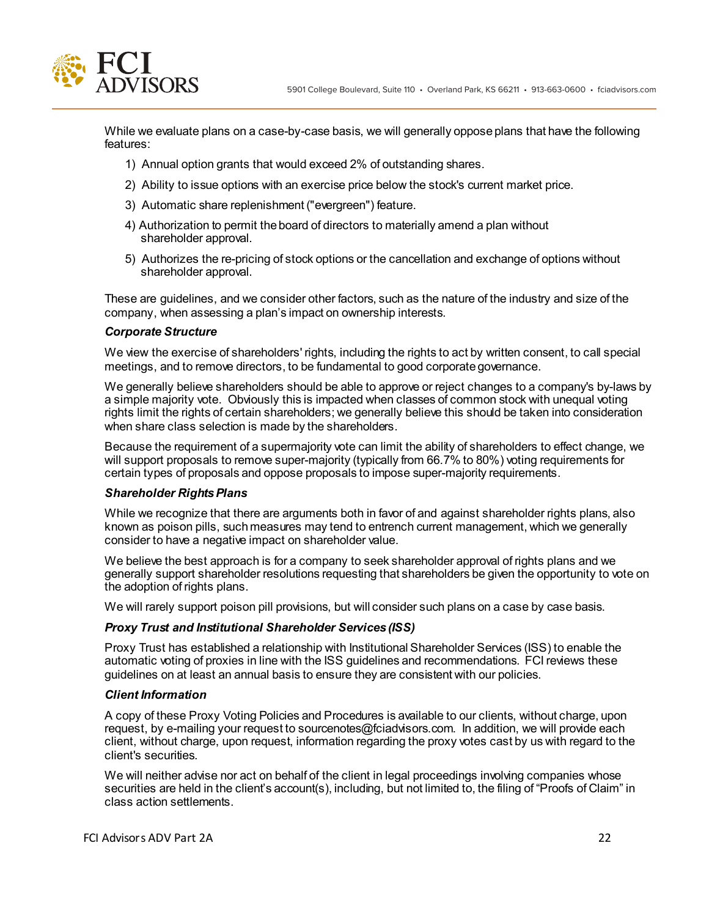5901 College Boulevard, Suite 110 • Overland Park, KS 66211 • 913-663-0600 • fciadvisors.com

While we evaluate plans on a case-by-case basis, we will generally oppose plans that have the following features:

- 1) Annual option grants that would exceed 2% of outstanding shares.
- 2) Ability to issue options with an exercise price below the stock's current market price.
- 3) Automatic share replenishment ("evergreen") feature.
- 4) Authorization to permit the board of directors to materially amend a plan without shareholder approval.
- 5) Authorizes the re-pricing of stock options or the cancellation and exchange of options without shareholder approval.

These are guidelines, and we consider other factors, such as the nature of the industry and size of the company, when assessing a plan's impact on ownership interests.

#### *Corporate Structure*

We view the exercise of shareholders' rights, including the rights to act by written consent, to call special meetings, and to remove directors, to be fundamental to good corporate governance.

We generally believe shareholders should be able to approve or reject changes to a company's by-laws by a simple majority vote. Obviously this is impacted when classes of common stock with unequal voting rights limit the rights of certain shareholders; we generally believe this should be taken into consideration when share class selection is made by the shareholders.

Because the requirement of a supermajority vote can limit the ability of shareholders to effect change, we will support proposals to remove super-majority (typically from 66.7% to 80%) voting requirements for certain types of proposals and oppose proposals to impose super-majority requirements.

### *Shareholder Rights Plans*

While we recognize that there are arguments both in favor of and against shareholder rights plans, also known as poison pills, such measures may tend to entrench current management, which we generally consider to have a negative impact on shareholder value.

We believe the best approach is for a company to seek shareholder approval of rights plans and we generally support shareholder resolutions requesting that shareholders be given the opportunity to vote on the adoption of rights plans.

We will rarely support poison pill provisions, but will consider such plans on a case by case basis.

#### *Proxy Trust and Institutional Shareholder Services (ISS)*

Proxy Trust has established a relationship with Institutional Shareholder Services (ISS) to enable the automatic voting of proxies in line with the ISS guidelines and recommendations. FCI reviews these guidelines on at least an annual basis to ensure they are consistent with our policies.

#### *Client Information*

A copy of these Proxy Voting Policies and Procedures is available to our clients, without charge, upon request, by e-mailing your request to sourcenotes@fciadvisors.com. In addition, we will provide each client, without charge, upon request, information regarding the proxy votes cast by us with regard to the client's securities.

We will neither advise nor act on behalf of the client in legal proceedings involving companies whose securities are held in the client's account(s), including, but not limited to, the filing of "Proofs of Claim" in class action settlements.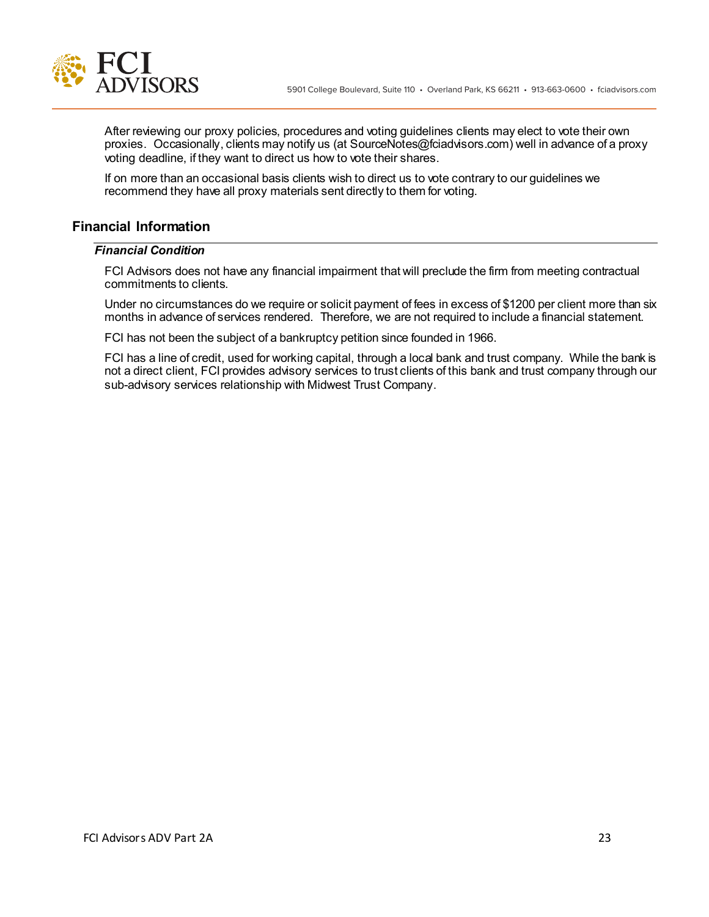

After reviewing our proxy policies, procedures and voting guidelines clients may elect to vote their own proxies. Occasionally, clients may notify us (at SourceNotes@fciadvisors.com) well in advance of a proxy voting deadline, if they want to direct us how to vote their shares.

If on more than an occasional basis clients wish to direct us to vote contrary to our guidelines we recommend they have all proxy materials sent directly to them for voting.

# **Financial Information**

## *Financial Condition*

FCI Advisors does not have any financial impairment that will preclude the firm from meeting contractual commitments to clients.

Under no circumstances do we require or solicit payment of fees in excess of \$1200 per client more than six months in advance of services rendered. Therefore, we are not required to include a financial statement.

FCI has not been the subject of a bankruptcy petition since founded in 1966.

FCI has a line of credit, used for working capital, through a local bank and trust company. While the bank is not a direct client, FCI provides advisory services to trust clients of this bank and trust company through our sub-advisory services relationship with Midwest Trust Company.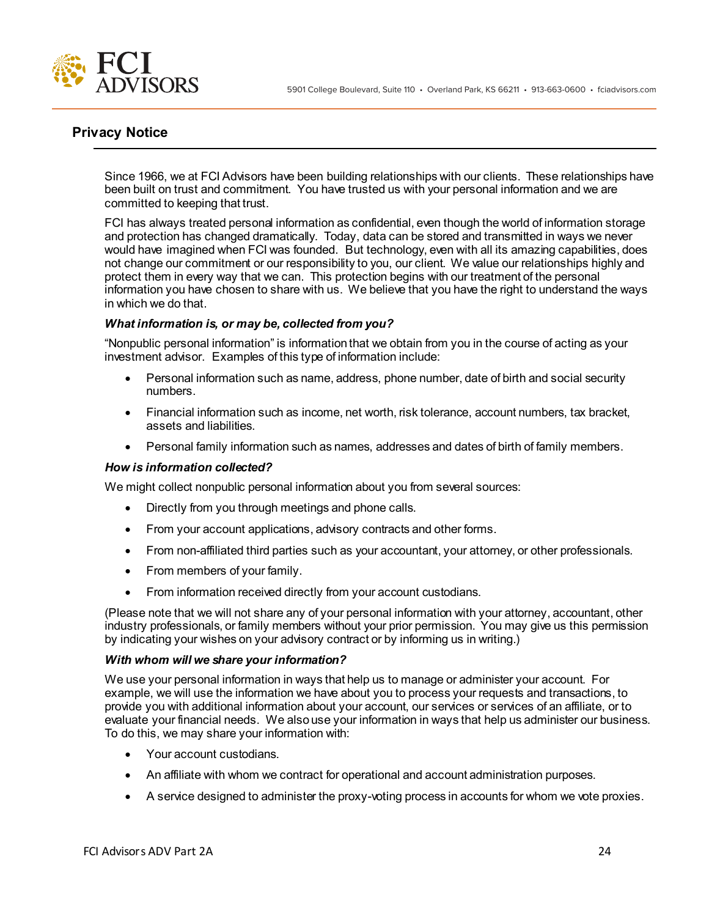

# **Privacy Notice**

Since 1966, we at FCI Advisors have been building relationships with our clients. These relationships have been built on trust and commitment. You have trusted us with your personal information and we are committed to keeping that trust.

FCI has always treated personal information as confidential, even though the world of information storage and protection has changed dramatically. Today, data can be stored and transmitted in ways we never would have imagined when FCI was founded. But technology, even with all its amazing capabilities, does not change our commitment or our responsibility to you, our client. We value our relationships highly and protect them in every way that we can. This protection begins with our treatment of the personal information you have chosen to share with us. We believe that you have the right to understand the ways in which we do that.

### *What information is, or may be, collected from you?*

"Nonpublic personal information" is information that we obtain from you in the course of acting as your investment advisor. Examples of this type of information include:

- Personal information such as name, address, phone number, date of birth and social security numbers.
- Financial information such as income, net worth, risk tolerance, account numbers, tax bracket, assets and liabilities.
- Personal family information such as names, addresses and dates of birth of family members.

### *How is information collected?*

We might collect nonpublic personal information about you from several sources:

- Directly from you through meetings and phone calls.
- From your account applications, advisory contracts and other forms.
- From non-affiliated third parties such as your accountant, your attorney, or other professionals.
- From members of your family.
- From information received directly from your account custodians.

(Please note that we will not share any of your personal information with your attorney, accountant, other industry professionals, or family members without your prior permission. You may give us this permission by indicating your wishes on your advisory contract or by informing us in writing.)

### *With whom will we share your information?*

We use your personal information in ways that help us to manage or administer your account. For example, we will use the information we have about you to process your requests and transactions, to provide you with additional information about your account, our services or services of an affiliate, or to evaluate your financial needs. We also use your information in ways that help us administer our business. To do this, we may share your information with:

- Your account custodians.
- An affiliate with whom we contract for operational and account administration purposes.
- A service designed to administer the proxy-voting process in accounts for whom we vote proxies.